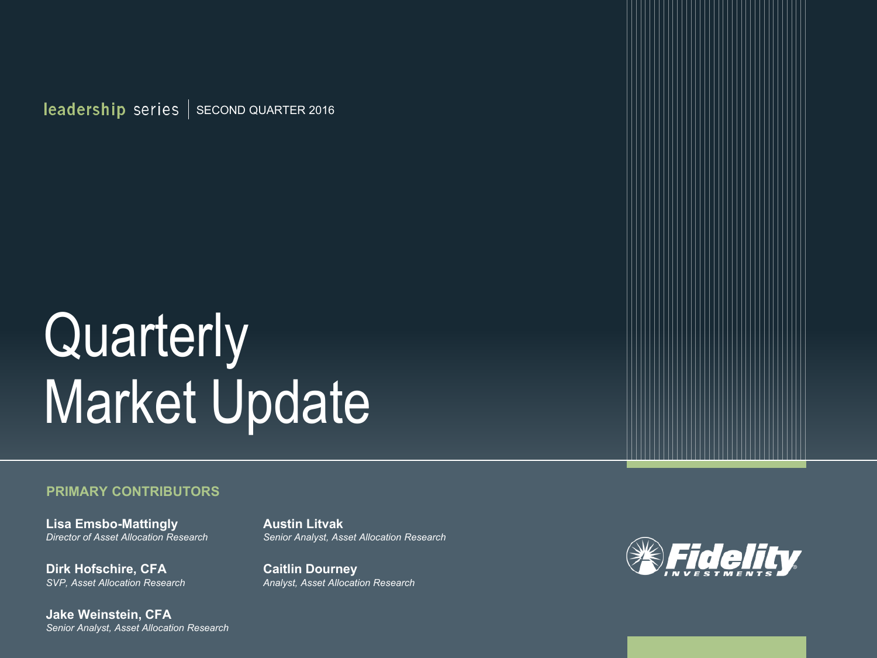$\vert$  leadership series  $\vert$  second quarter 2016

# **Quarterly** Market Update

#### **PRIMARY CONTRIBUTORS**

**Lisa Emsbo-Mattingly** *Director of Asset Allocation Research* 

**Dirk Hofschire, CFA** *SVP, Asset Allocation Research* 

**Jake Weinstein, CFA** *Senior Analyst, Asset Allocation Research*  **Austin Litvak** *Senior Analyst, Asset Allocation Research* 

**Caitlin Dourney** *Analyst, Asset Allocation Research* 

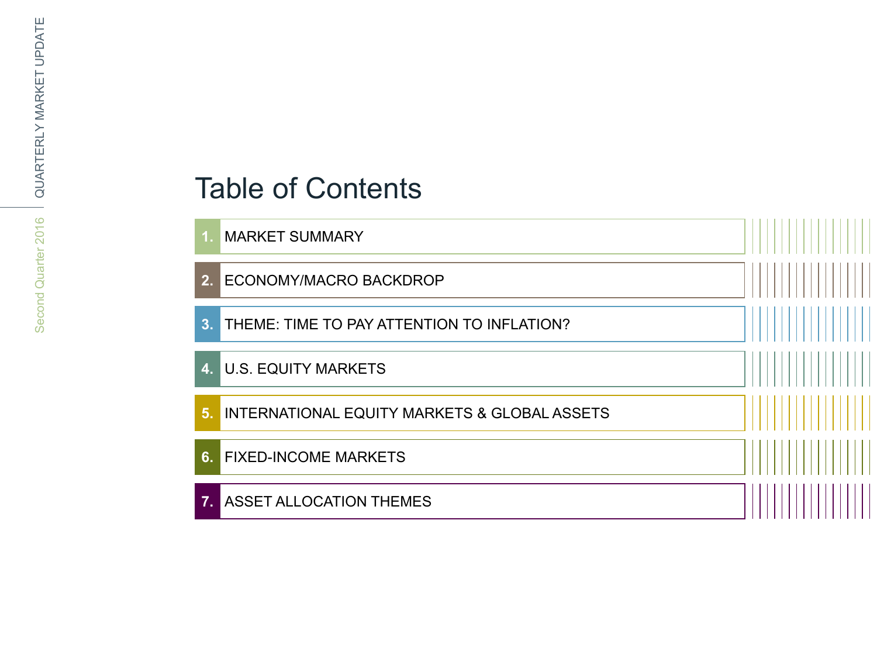### Table of Contents

**1.** MARKET SUMMARY

**2.** ECONOMY/MACRO BACKDROP

**3.** THEME: TIME TO PAY ATTENTION TO INFLATION?

**4.** U.S. EQUITY MARKETS

**5.** INTERNATIONAL EQUITY MARKETS & GLOBAL ASSETS

**6.** FIXED-INCOME MARKETS

**7.** ASSET ALLOCATION THEMES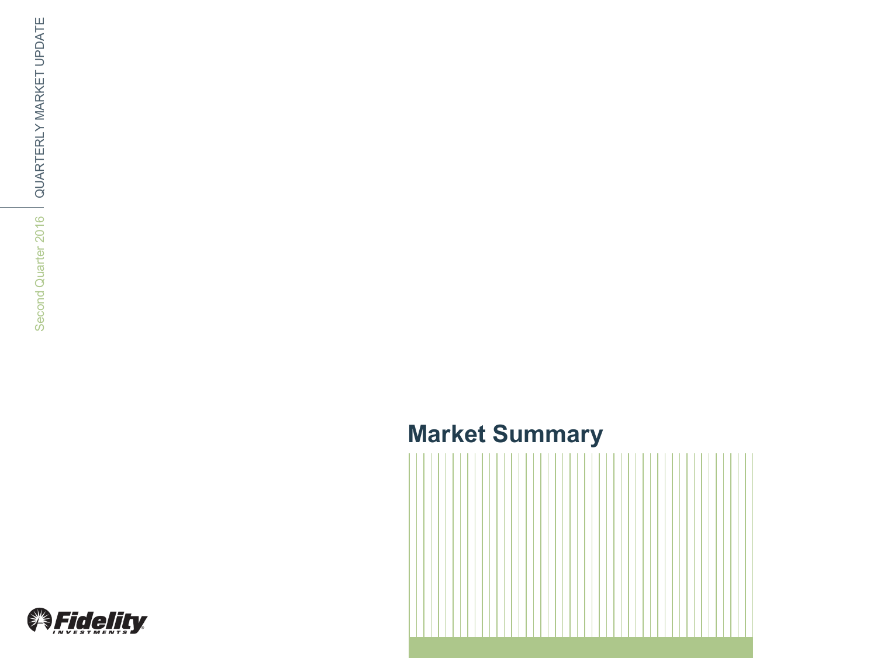### **Market Summary**



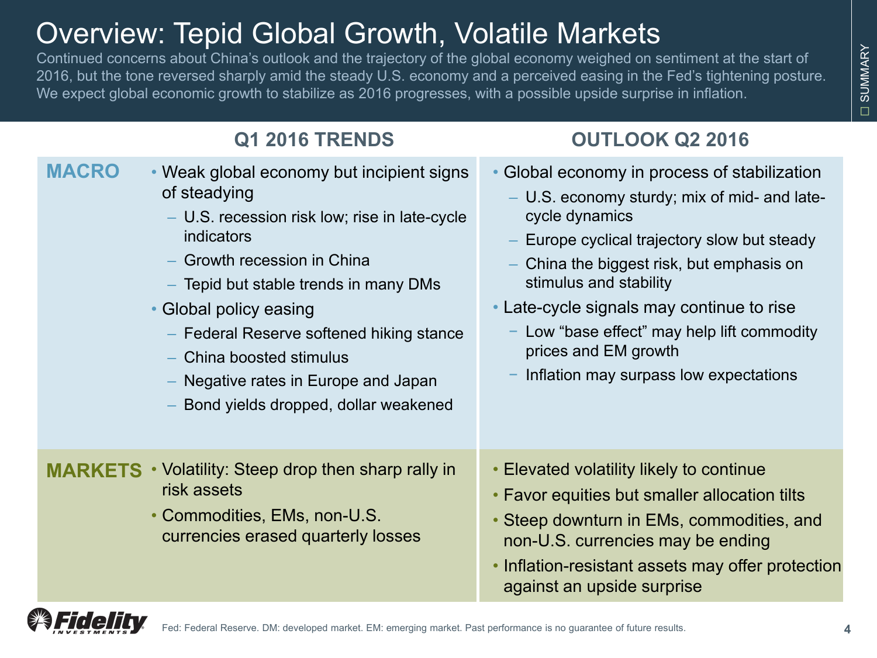### Overview: Tepid Global Growth, Volatile Markets

Continued concerns about China's outlook and the trajectory of the global economy weighed on sentiment at the start of 2016, but the tone reversed sharply amid the steady U.S. economy and a perceived easing in the Fed's tightening posture. We expect global economic growth to stabilize as 2016 progresses, with a possible upside surprise in inflation.

### **Q1 2016 TRENDS OUTLOOK Q2 2016**

• Weak global economy but incipient signs of steadying – U.S. recession risk low; rise in late-cycle indicators – Growth recession in China – Tepid but stable trends in many DMs • Global policy easing – Federal Reserve softened hiking stance – China boosted stimulus – Negative rates in Europe and Japan – Bond yields dropped, dollar weakened • Global economy in process of stabilization – U.S. economy sturdy; mix of mid- and latecycle dynamics – Europe cyclical trajectory slow but steady – China the biggest risk, but emphasis on stimulus and stability • Late-cycle signals may continue to rise Low "base effect" may help lift commodity prices and EM growth − Inflation may surpass low expectations **MACRO MARKETS** • Volatility: Steep drop then sharp rally in risk assets • Commodities, EMs, non-U.S. currencies erased quarterly losses • Elevated volatility likely to continue • Favor equities but smaller allocation tilts • Steep downturn in EMs, commodities, and non-U.S. currencies may be ending • Inflation-resistant assets may offer protection against an upside surprise

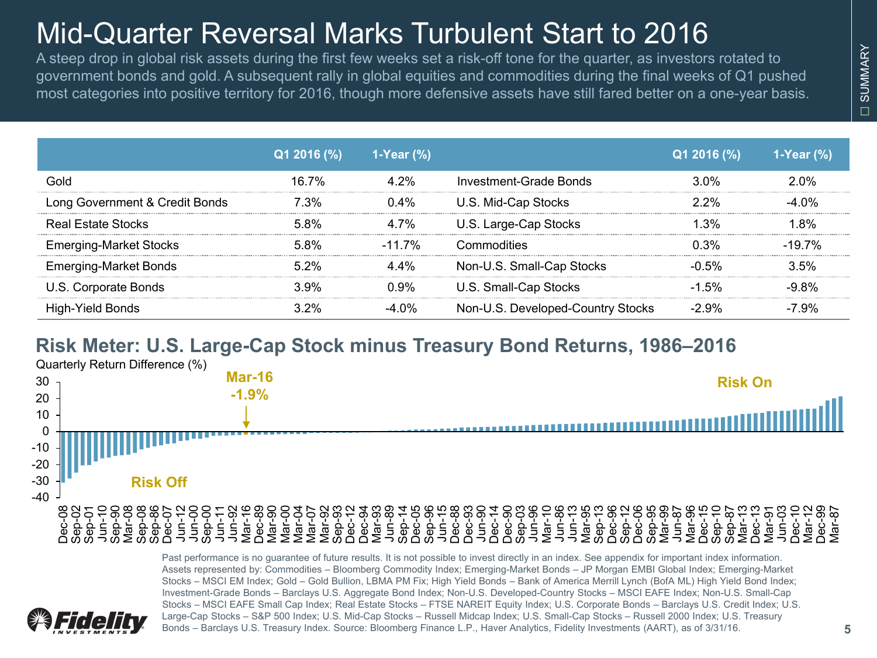## Mid-Quarter Reversal Marks Turbulent Start to 2016

A steep drop in global risk assets during the first few weeks set a risk-off tone for the quarter, as investors rotated to government bonds and gold. A subsequent rally in global equities and commodities during the final weeks of Q1 pushed most categories into positive territory for 2016, though more defensive assets have still fared better on a one-year basis.

|                                | $Q1 2016 (\%)$ | 1-Year $(\% )$ |                                   | $Q12016$ (%) | 1-Year $(\%)$ |
|--------------------------------|----------------|----------------|-----------------------------------|--------------|---------------|
| Gold                           | 16 7%          | 4 2%           | Investment-Grade Bonds            | $3.0\%$      | 2.0%          |
| Long Government & Credit Bonds | 7.3%           | $0.4\%$        | U.S. Mid-Cap Stocks               | $2.2\%$      | -4 0%         |
| <b>Real Estate Stocks</b>      | $5.8\%$        | 4 7%           | U.S. Large-Cap Stocks             | l 3%         | 1 ጸ%          |
| <b>Emerging-Market Stocks</b>  | 5.8%           | $-11.7\%$      | Commodities                       | በ 3%         | $-19.7\%$     |
| <b>Emerging-Market Bonds</b>   | $5.2\%$        | 44%            | Non-U.S. Small-Cap Stocks         | $-0.5\%$     | 3.5%          |
| U.S. Corporate Bonds           | 3.9%           | በ 9%           | U.S. Small-Cap Stocks             | $-1.5\%$     | -9.8%         |
| High-Yield Bonds               | 3.2%           | -4 በ%          | Non-U.S. Developed-Country Stocks | $-2.9\%$     | -7.9%         |

#### **Risk Meter: U.S. Large-Cap Stock minus Treasury Bond Returns, 1986–2016**

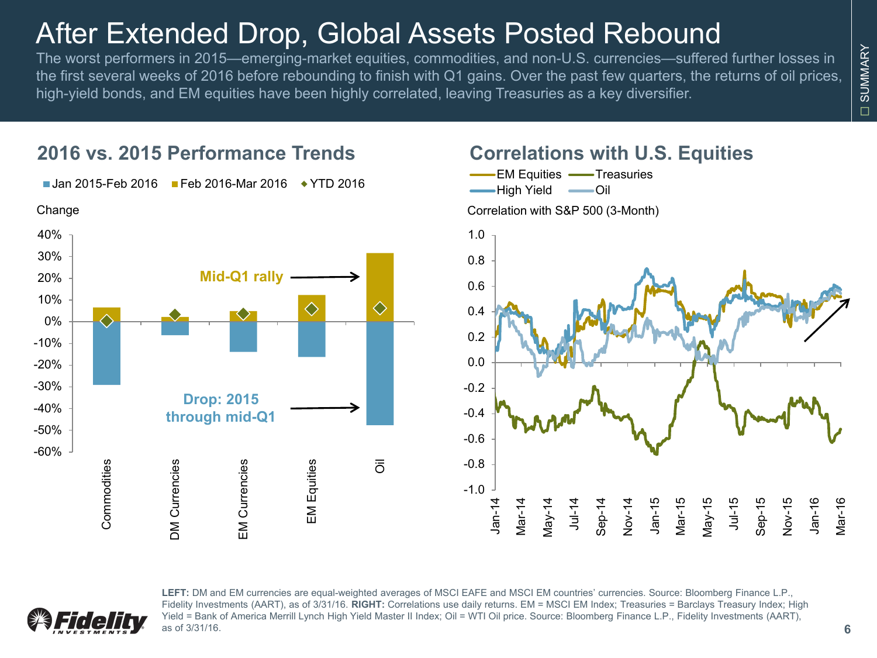### After Extended Drop, Global Assets Posted Rebound

The worst performers in 2015—emerging-market equities, commodities, and non-U.S. currencies—suffered further losses in the first several weeks of 2016 before rebounding to finish with Q1 gains. Over the past few quarters, the returns of oil prices, high-yield bonds, and EM equities have been highly correlated, leaving Treasuries as a key diversifier.

#### ■ Jan 2015-Feb 2016 ■ Feb 2016-Mar 2016 → YTD 2016 Change40% 30% **Mid-Q1 rally** 20% 10%  $\diamondsuit$ ♦ 0% -10% -20% -30% **Drop: 2015**  -40% **through mid-Q1** -50% -60% Commodities **DM Currencies EM Currencies EM Equities**  $\overline{\overline{O}}$ Commodities DM Currencies EM Currencies EM Equities

**2016 vs. 2015 Performance Trends**

#### **Correlations with U.S. Equities**

-1.0 -0.8 -0.6 -0.4 -0.2 0.0 0.2 0.4 0.6 0.8 1.0 Jan-14 Mar-14 May-14 Jul-14  $\varepsilon$ ep-14 Nov-14 Jan-15 Mar-15 May-15 Jul-15 Sep-15 Nov-15 Jan-16 -EM Equities - Treasuries High Yield -Oil Correlation with S&P 500 (3-Month)



LEFT: DM and EM currencies are equal-weighted averages of MSCI EAFE and MSCI EM countries' currencies. Source: Bloomberg Finance L.P., Fidelity Investments (AART), as of 3/31/16. **RIGHT:** Correlations use daily returns. EM = MSCI EM Index; Treasuries = Barclays Treasury Index; High Yield = Bank of America Merrill Lynch High Yield Master II Index; Oil = WTI Oil price. Source: Bloomberg Finance L.P., Fidelity Investments (AART), as of 3/31/16.

Mar-16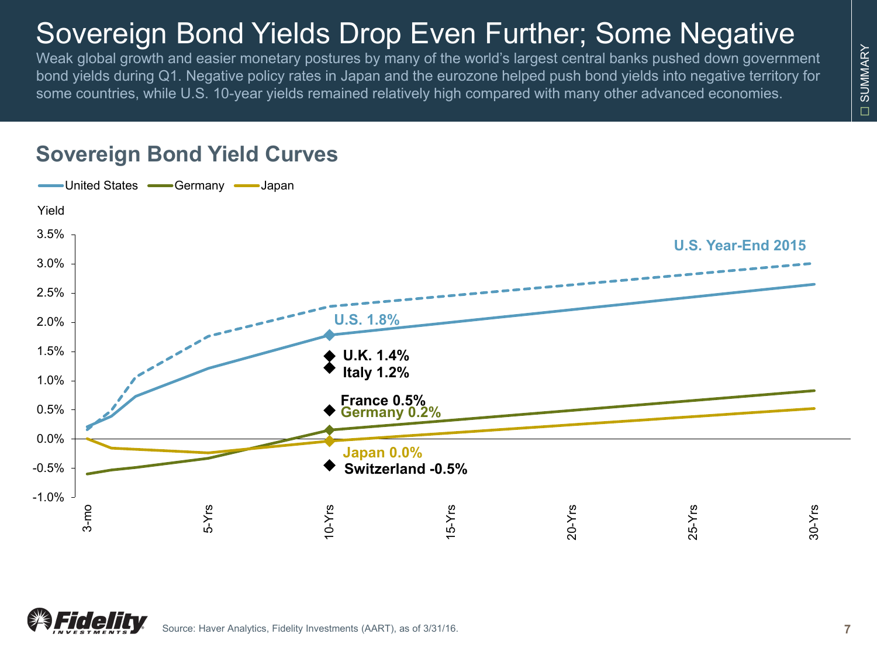## Sovereign Bond Yields Drop Even Further; Some Negative

Weak global growth and easier monetary postures by many of the world's largest central banks pushed down government bond yields during Q1. Negative policy rates in Japan and the eurozone helped push bond yields into negative territory for some countries, while U.S. 10-year yields remained relatively high compared with many other advanced economies.



### **Sovereign Bond Yield Curves**

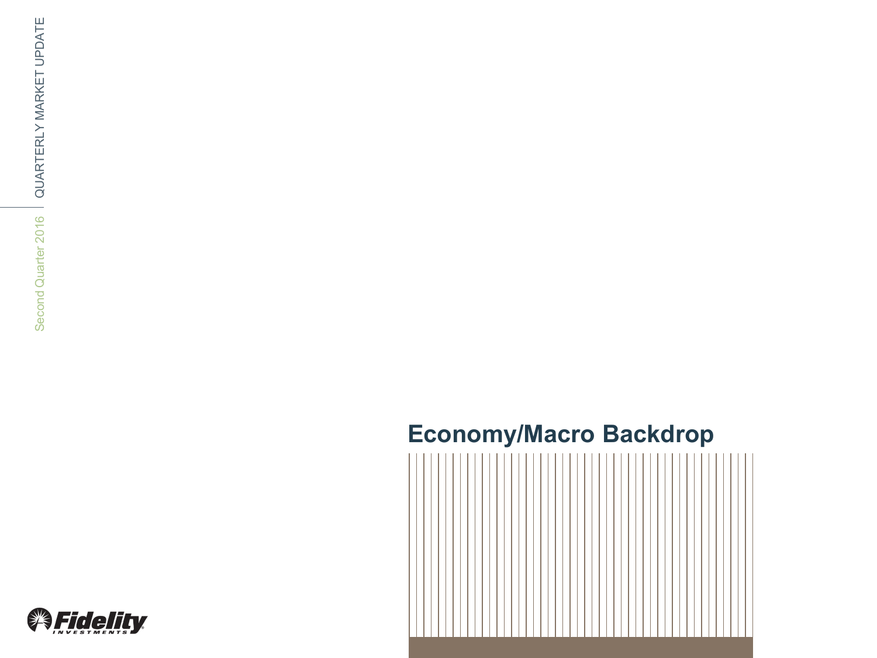### **Economy/Macro Backdrop**



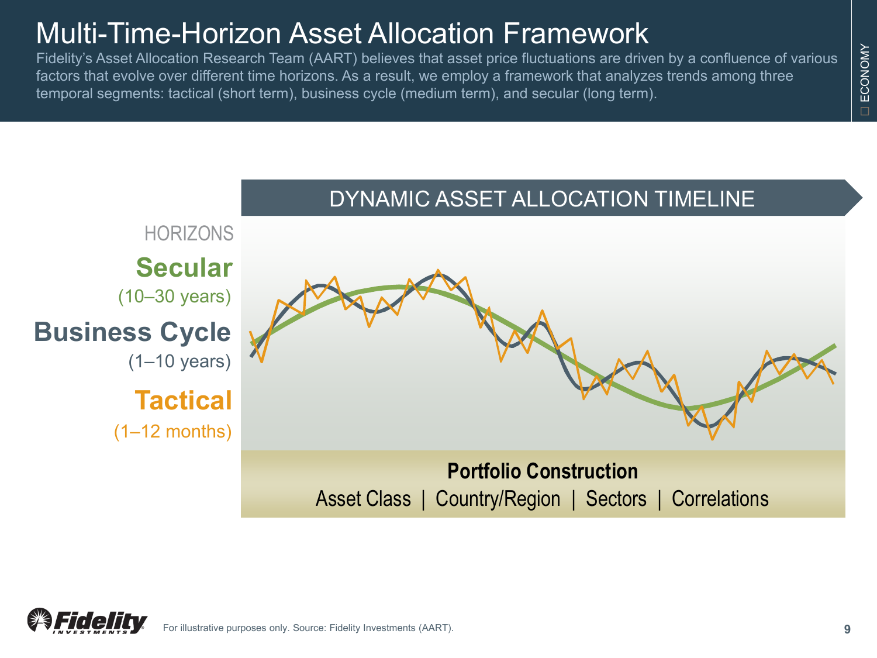### Multi-Time-Horizon Asset Allocation Framework

Fidelity's Asset Allocation Research Team (AART) believes that asset price fluctuations are driven by a confluence of various factors that evolve over different time horizons. As a result, we employ a framework that analyzes trends among three temporal segments: tactical (short term), business cycle (medium term), and secular (long term).





□

ECONOMY

ECONOMY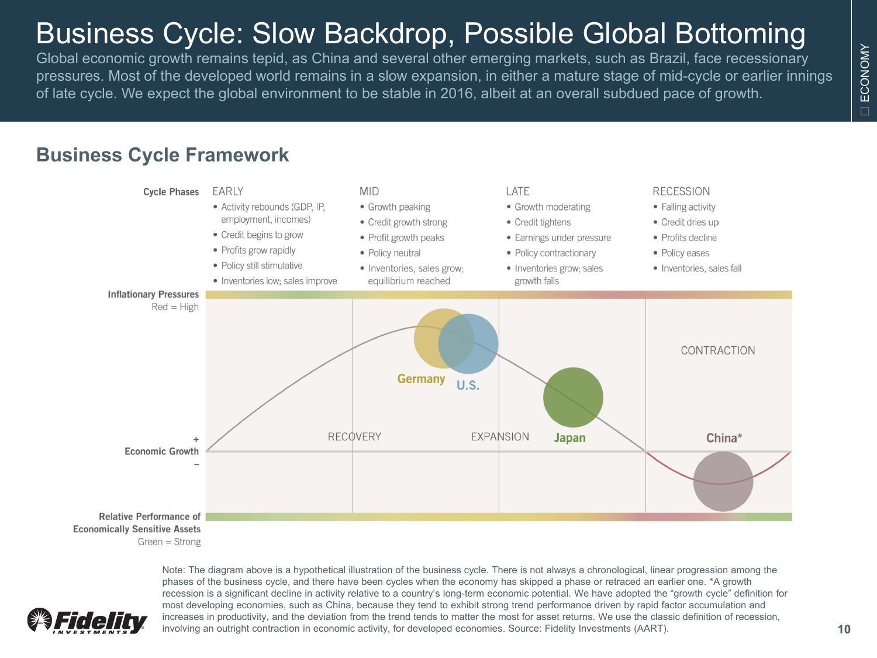## Business Cycle: Slow Backdrop, Possible Global Bottoming

Global economic growth remains tepid, as China and several other emerging markets, such as Brazil, face recessionary pressures. Most of the developed world remains in a slow expansion, in either a mature stage of mid-cycle or earlier innings of late cycle. We expect the global environment to be stable in 2016, albeit at an overall subdued pace of growth.

#### **Business Cycle Framework**



Note: The diagram above is a hypothetical illustration of the business cycle. There is not always a chronological, linear progression among the phases of the business cycle, and there have been cycles when the economy has skipped a phase or retraced an earlier one. \*A growth recession is a significant decline in activity relative to a country's long-term economic potential. We have adopted the "growth cycle" definition for most developing economies, such as China, because they tend to exhibit strong trend performance driven by rapid factor accumulation and increases in productivity, and the deviation from the trend tends to matter the most for asset returns. We use the classic definition of recession, involving an outright contraction in economic activity, for developed economies. Source: Fidelity Investments (AART).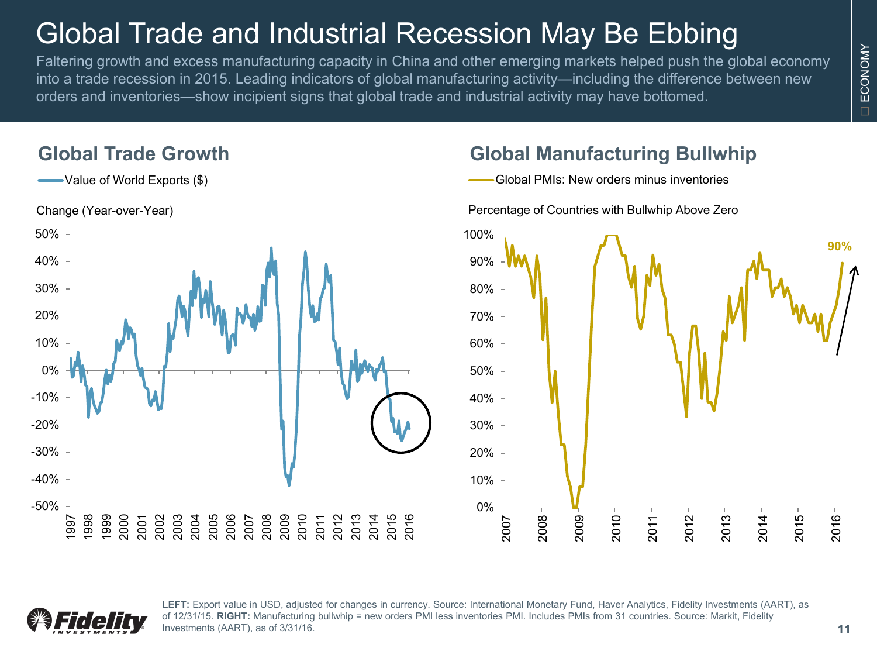## Global Trade and Industrial Recession May Be Ebbing

Faltering growth and excess manufacturing capacity in China and other emerging markets helped push the global economy into a trade recession in 2015. Leading indicators of global manufacturing activity—including the difference between new orders and inventories—show incipient signs that global trade and industrial activity may have bottomed.

#### **Global Trade Growth**

Value of World Exports (\$)



#### **Global Manufacturing Bullwhip**

Global PMIs: New orders minus inventories





LEFT: Export value in USD, adjusted for changes in currency. Source: International Monetary Fund, Haver Analytics, Fidelity Investments (AART), as of 12/31/15. **RIGHT:** Manufacturing bullwhip = new orders PMI less inventories PMI. Includes PMIs from 31 countries. Source: Markit, Fidelity Investments (AART), as of 3/31/16.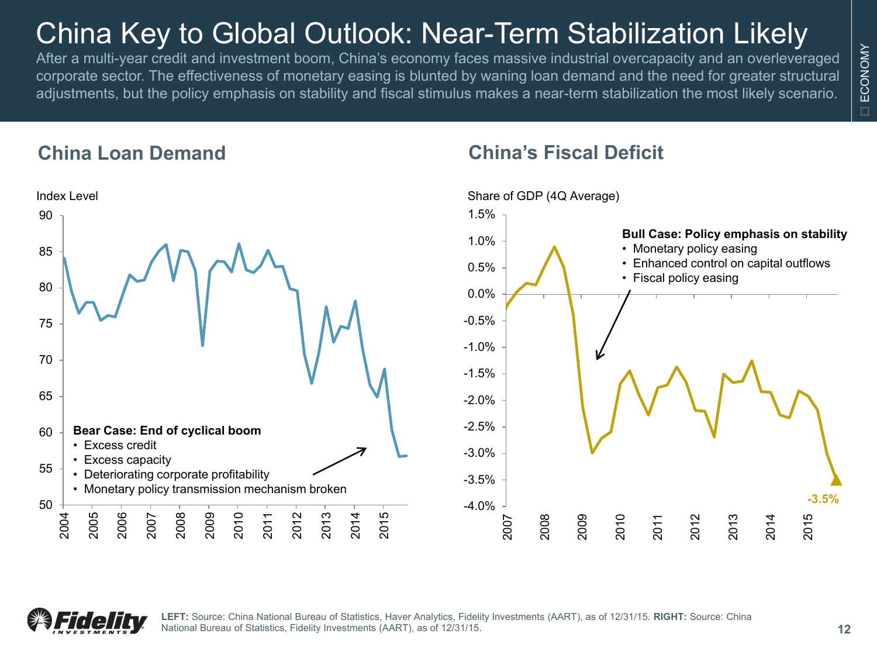## China Key to Global Outlook: Near-Term Stabilization Likely

After a multi-year credit and investment boom, China's economy faces massive industrial overcapacity and an overleveraged corporate sector. The effectiveness of monetary easing is blunted by waning loan demand and the need for greater structural adjustments, but the policy emphasis on stability and fiscal stimulus makes a near-term stabilization the most likely scenario.

#### **China Loan Demand**



#### **China's Fiscal Deficit**





**LEFT:** Source: China National Bureau of Statistics, Haver Analytics, Fidelity Investments (AART), as of 12/31/15. **RIGHT:** Source: China National Bureau of Statistics, Fidelity Investments (AART), as of 12/31/15.

ECONOMY

ECONOMY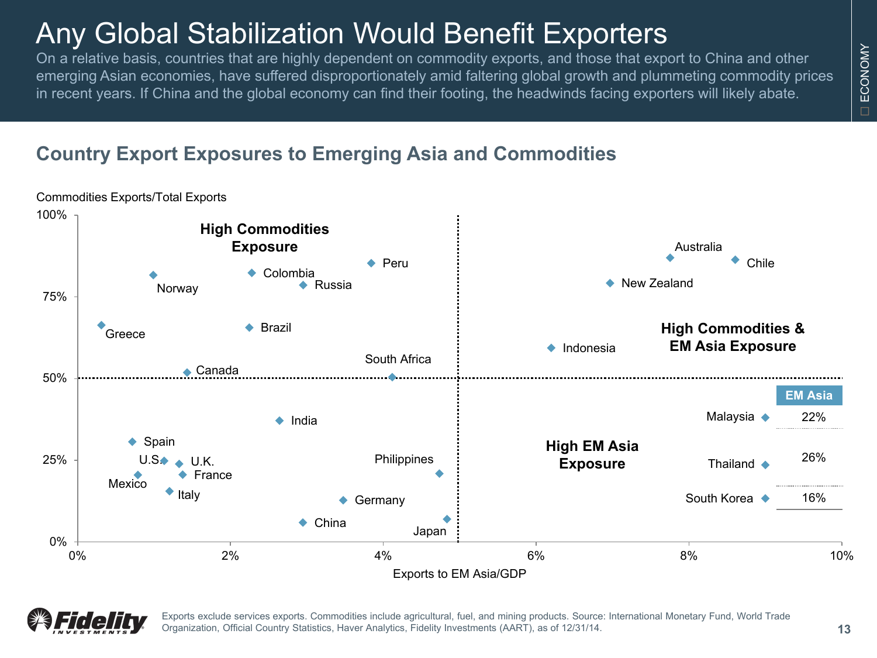## Any Global Stabilization Would Benefit Exporters

On a relative basis, countries that are highly dependent on commodity exports, and those that export to China and other emerging Asian economies, have suffered disproportionately amid faltering global growth and plummeting commodity prices in recent years. If China and the global economy can find their footing, the headwinds facing exporters will likely abate.

### **Country Export Exposures to Emerging Asia and Commodities**





Exports exclude services exports. Commodities include agricultural, fuel, and mining products. Source: International Monetary Fund, World Trade Organization, Official Country Statistics, Haver Analytics, Fidelity Investments (AART), as of 12/31/14.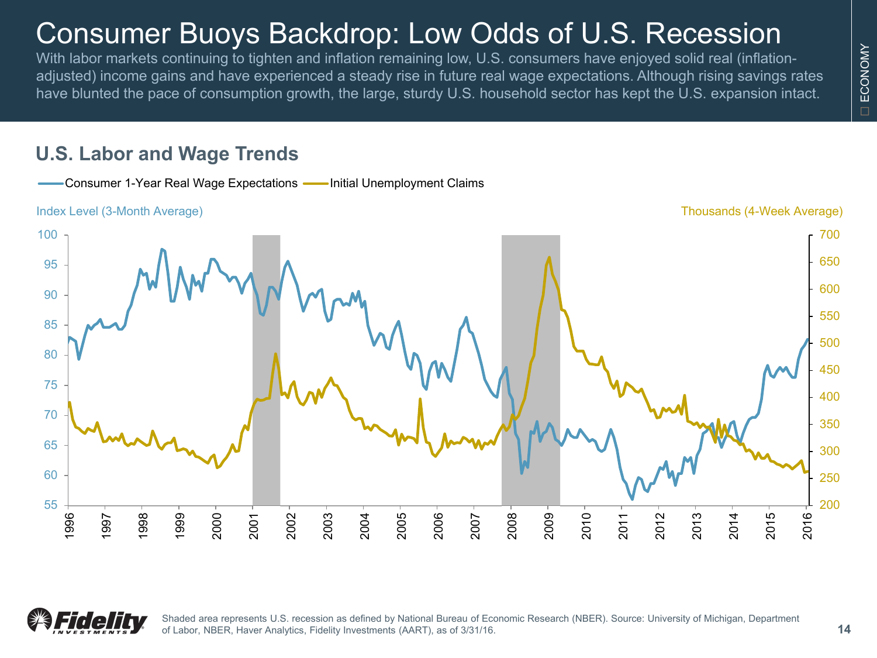## Consumer Buoys Backdrop: Low Odds of U.S. Recession

With labor markets continuing to tighten and inflation remaining low, U.S. consumers have enjoyed solid real (inflationadjusted) income gains and have experienced a steady rise in future real wage expectations. Although rising savings rates have blunted the pace of consumption growth, the large, sturdy U.S. household sector has kept the U.S. expansion intact.

#### **U.S. Labor and Wage Trends**





Shaded area represents U.S. recession as defined by National Bureau of Economic Research (NBER). Source: University of Michigan, Department of Labor, NBER, Haver Analytics, Fidelity Investments (AART), as of 3/31/16.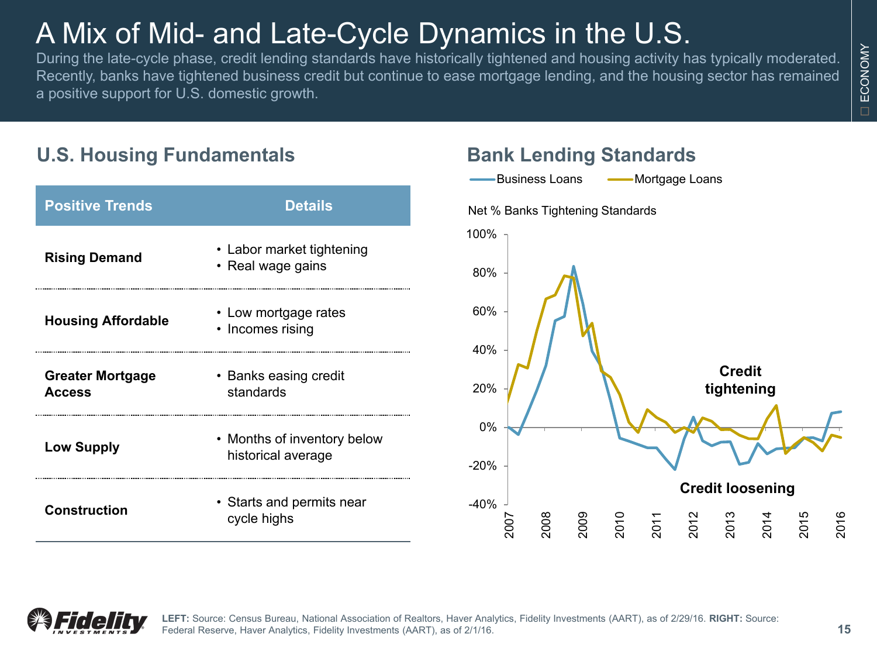## A Mix of Mid- and Late-Cycle Dynamics in the U.S.

During the late-cycle phase, credit lending standards have historically tightened and housing activity has typically moderated. Recently, banks have tightened business credit but continue to ease mortgage lending, and the housing sector has remained a positive support for U.S. domestic growth.

#### **U.S. Housing Fundamentals**

| <b>Positive Trends</b>                   | <b>Details</b>                                    |
|------------------------------------------|---------------------------------------------------|
| <b>Rising Demand</b>                     | • Labor market tightening<br>• Real wage gains    |
| <b>Housing Affordable</b>                | • Low mortgage rates<br>• Incomes rising          |
| <b>Greater Mortgage</b><br><b>Access</b> | • Banks easing credit<br>standards                |
| <b>Low Supply</b>                        | • Months of inventory below<br>historical average |
| Construction                             | • Starts and permits near<br>cycle highs          |

#### **Bank Lending Standards**



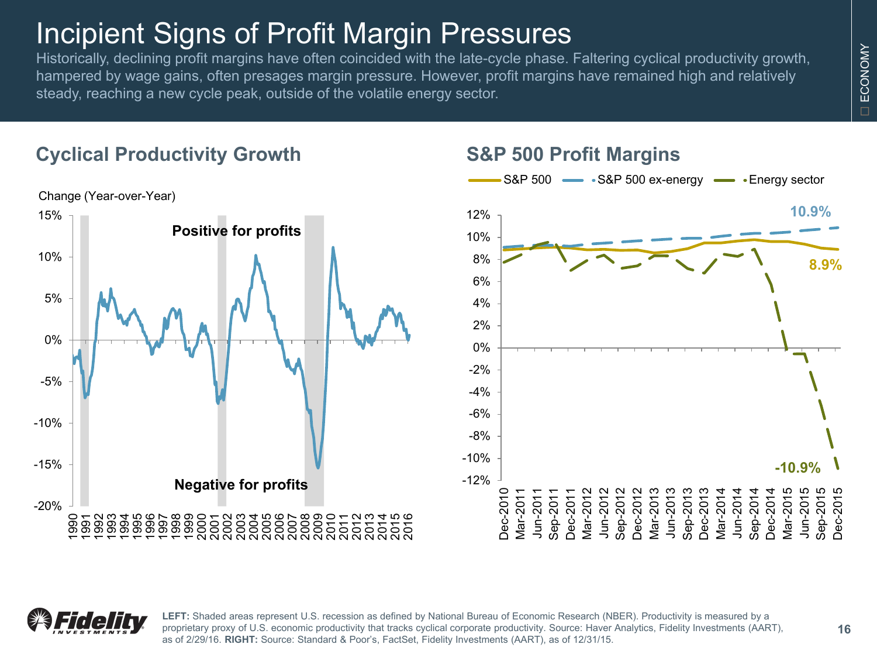### Incipient Signs of Profit Margin Pressures

Historically, declining profit margins have often coincided with the late-cycle phase. Faltering cyclical productivity growth, hampered by wage gains, often presages margin pressure. However, profit margins have remained high and relatively steady, reaching a new cycle peak, outside of the volatile energy sector.

### **Cyclical Productivity Growth**



#### **S&P 500 Profit Margins**





**LEFT:** Shaded areas represent U.S. recession as defined by National Bureau of Economic Research (NBER). Productivity is measured by a proprietary proxy of U.S. economic productivity that tracks cyclical corporate productivity. Source: Haver Analytics, Fidelity Investments (AART), as of 2/29/16. **RIGHT:** Source: Standard & Poor's, FactSet, Fidelity Investments (AART), as of 12/31/15.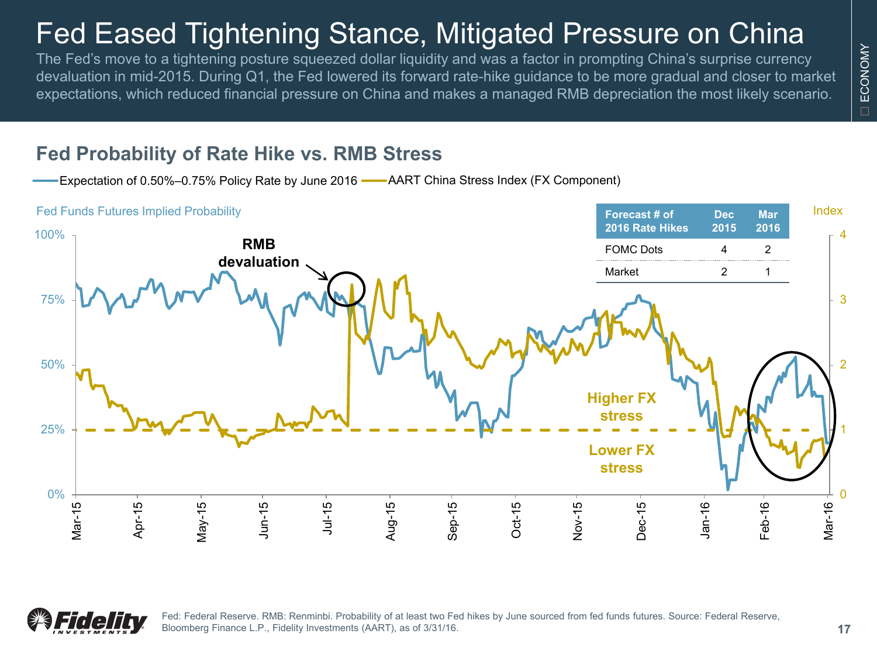## Fed Eased Tightening Stance, Mitigated Pressure on China

The Fed's move to a tightening posture squeezed dollar liquidity and was a factor in prompting China's surprise currency devaluation in mid-2015. During Q1, the Fed lowered its forward rate-hike guidance to be more gradual and closer to market expectations, which reduced financial pressure on China and makes a managed RMB depreciation the most likely scenario.

#### **Fed Probability of Rate Hike vs. RMB Stress**

Expectation of 0.50%–0.75% Policy Rate by June 2016 **---** AART China Stress Index (FX Component)





Fed: Federal Reserve. RMB: Renminbi. Probability of at least two Fed hikes by June sourced from fed funds futures. Source: Federal Reserve, Bloomberg Finance L.P., Fidelity Investments (AART), as of 3/31/16.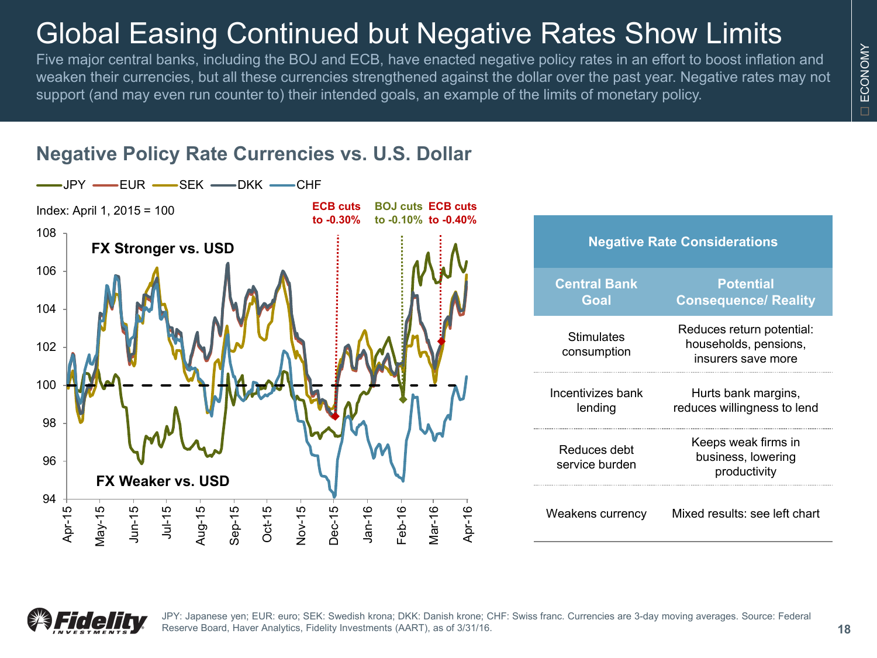### Global Easing Continued but Negative Rates Show Limits

Five major central banks, including the BOJ and ECB, have enacted negative policy rates in an effort to boost inflation and weaken their currencies, but all these currencies strengthened against the dollar over the past year. Negative rates may not support (and may even run counter to) their intended goals, an example of the limits of monetary policy.



### **Negative Policy Rate Currencies vs. U.S. Dollar**

| <b>Negative Rate Considerations</b> |                                                                          |  |  |  |  |  |  |  |  |
|-------------------------------------|--------------------------------------------------------------------------|--|--|--|--|--|--|--|--|
| Central Bank<br>Goal                | <b>Potential</b><br><b>Consequence/ Reality</b>                          |  |  |  |  |  |  |  |  |
| Stimulates<br>consumption           | Reduces return potential:<br>households, pensions,<br>insurers save more |  |  |  |  |  |  |  |  |
| Incentivizes bank<br>lending        | Hurts bank margins,<br>reduces willingness to lend                       |  |  |  |  |  |  |  |  |
| Reduces debt<br>service burden      | Keeps weak firms in<br>business, lowering<br>productivity                |  |  |  |  |  |  |  |  |
| Weakens currency                    | Mixed results: see left chart                                            |  |  |  |  |  |  |  |  |



JPY: Japanese yen; EUR: euro; SEK: Swedish krona; DKK: Danish krone; CHF: Swiss franc. Currencies are 3-day moving averages. Source: Federal Reserve Board, Haver Analytics, Fidelity Investments (AART), as of 3/31/16.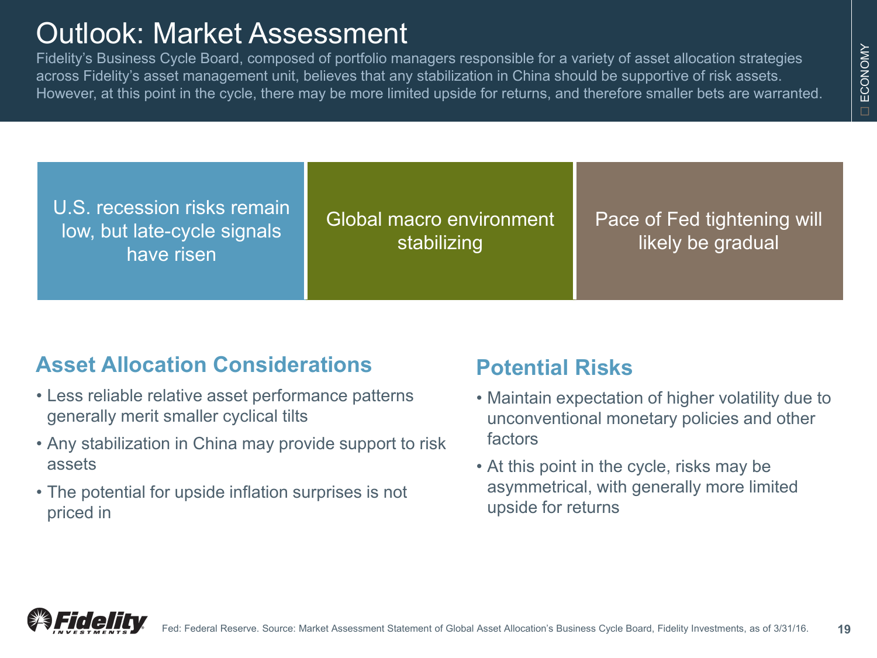### Outlook: Market Assessment

Fidelity's Business Cycle Board, composed of portfolio managers responsible for a variety of asset allocation strategies across Fidelity's asset management unit, believes that any stabilization in China should be supportive of risk assets. However, at this point in the cycle, there may be more limited upside for returns, and therefore smaller bets are warranted.

U.S. recession risks remain low, but late-cycle signals have risen

Global macro environment stabilizing

Pace of Fed tightening will likely be gradual

### **Asset Allocation Considerations**

- Less reliable relative asset performance patterns generally merit smaller cyclical tilts
- Any stabilization in China may provide support to risk assets
- The potential for upside inflation surprises is not priced in

### **Potential Risks**

- Maintain expectation of higher volatility due to unconventional monetary policies and other factors
- At this point in the cycle, risks may be asymmetrical, with generally more limited upside for returns

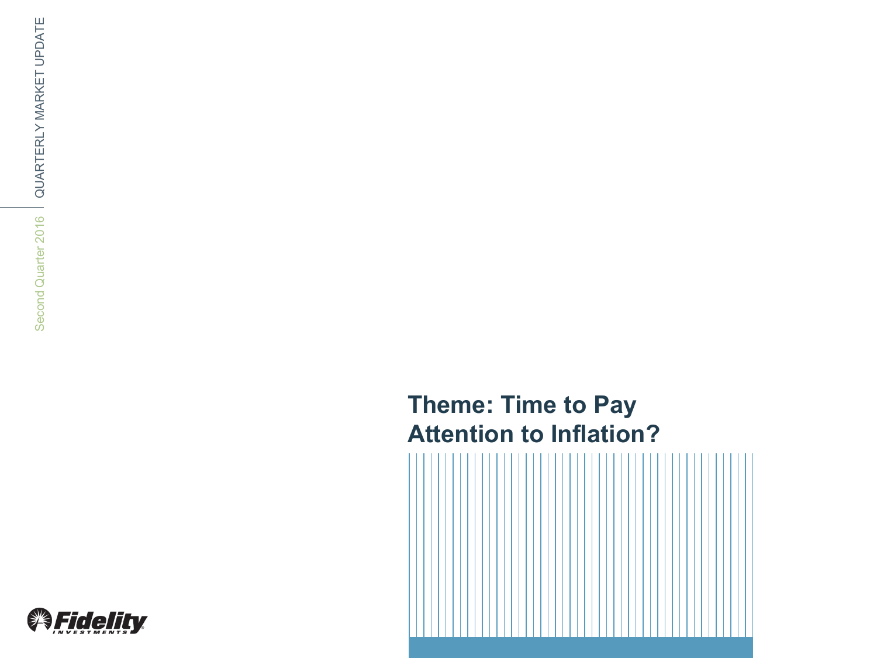### **Theme: Time to Pay Attention to Inflation?**



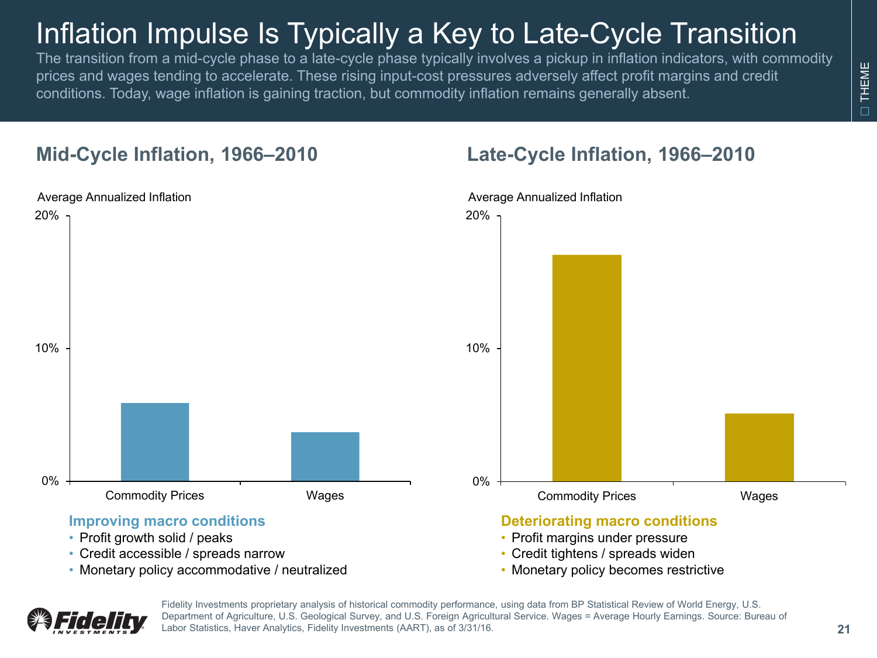## Inflation Impulse Is Typically a Key to Late-Cycle Transition

The transition from a mid-cycle phase to a late-cycle phase typically involves a pickup in inflation indicators, with commodity prices and wages tending to accelerate. These rising input-cost pressures adversely affect profit margins and credit conditions. Today, wage inflation is gaining traction, but commodity inflation remains generally absent.

#### **Mid-Cycle Inflation, 1966–2010**



- Credit accessible / spreads narrow
- Monetary policy accommodative / neutralized
	- Fidelity Investments proprietary analysis of historical commodity performance, using data from BP Statistical Review of World Energy, U.S. Department of Agriculture, U.S. Geological Survey, and U.S. Foreign Agricultural Service. Wages = Average Hourly Earnings. Source: Bureau of Labor Statistics, Haver Analytics, Fidelity Investments (AART), as of 3/31/16.

#### **Late-Cycle Inflation, 1966–2010**

• Monetary policy becomes restrictive

THEME

**THEME**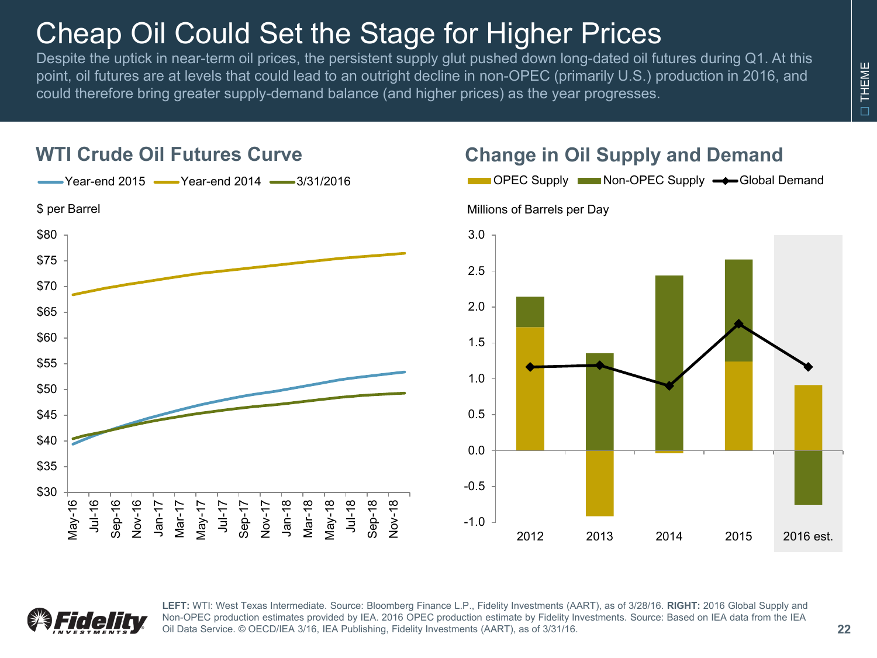## Cheap Oil Could Set the Stage for Higher Prices

Despite the uptick in near-term oil prices, the persistent supply glut pushed down long-dated oil futures during Q1. At this point, oil futures are at levels that could lead to an outright decline in non-OPEC (primarily U.S.) production in 2016, and could therefore bring greater supply-demand balance (and higher prices) as the year progresses.



### **WTI Crude Oil Futures Curve Change in Oil Supply and Demand**





**LEFT:** WTI: West Texas Intermediate. Source: Bloomberg Finance L.P., Fidelity Investments (AART), as of 3/28/16. **RIGHT:** 2016 Global Supply and Non-OPEC production estimates provided by IEA. 2016 OPEC production estimate by Fidelity Investments. Source: Based on IEA data from the IEA Oil Data Service. © OECD/IEA 3/16, IEA Publishing, Fidelity Investments (AART), as of 3/31/16.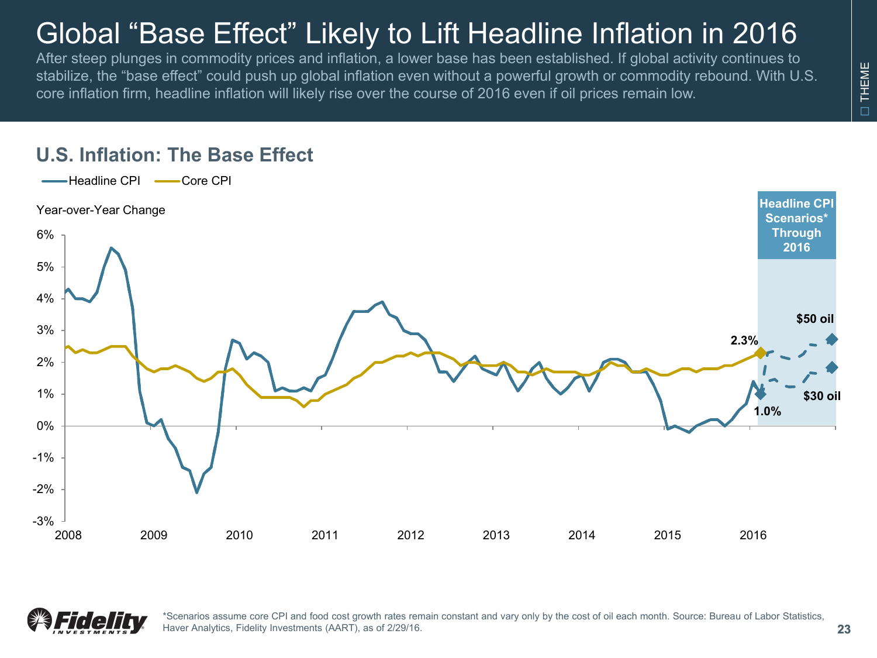## Global "Base Effect" Likely to Lift Headline Inflation in 2016

After steep plunges in commodity prices and inflation, a lower base has been established. If global activity continues to stabilize, the "base effect" could push up global inflation even without a powerful growth or commodity rebound. With U.S. core inflation firm, headline inflation will likely rise over the course of 2016 even if oil prices remain low.

#### **U.S. Inflation: The Base Effect**





\*Scenarios assume core CPI and food cost growth rates remain constant and vary only by the cost of oil each month. Source: Bureau of Labor Statistics, Haver Analytics, Fidelity Investments (AART), as of 2/29/16.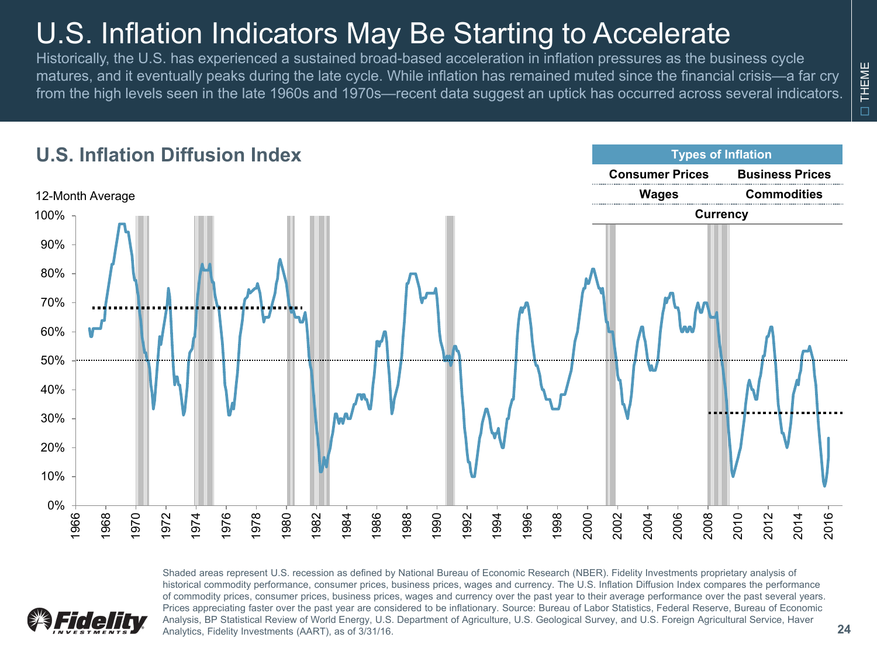## U.S. Inflation Indicators May Be Starting to Accelerate

Historically, the U.S. has experienced a sustained broad-based acceleration in inflation pressures as the business cycle matures, and it eventually peaks during the late cycle. While inflation has remained muted since the financial crisis—a far cry from the high levels seen in the late 1960s and 1970s—recent data suggest an uptick has occurred across several indicators.



Shaded areas represent U.S. recession as defined by National Bureau of Economic Research (NBER). Fidelity Investments proprietary analysis of historical commodity performance, consumer prices, business prices, wages and currency. The U.S. Inflation Diffusion Index compares the performance of commodity prices, consumer prices, business prices, wages and currency over the past year to their average performance over the past several years. Prices appreciating faster over the past year are considered to be inflationary. Source: Bureau of Labor Statistics, Federal Reserve, Bureau of Economic Analysis, BP Statistical Review of World Energy, U.S. Department of Agriculture, U.S. Geological Survey, and U.S. Foreign Agricultural Service, Haver Analytics, Fidelity Investments (AART), as of 3/31/16.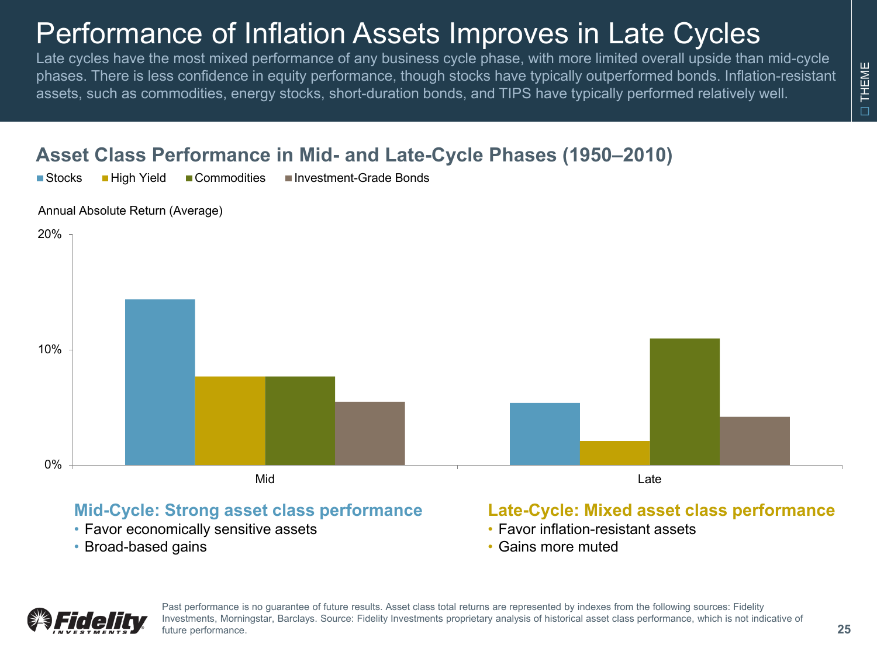### Performance of Inflation Assets Improves in Late Cycles

Late cycles have the most mixed performance of any business cycle phase, with more limited overall upside than mid-cycle phases. There is less confidence in equity performance, though stocks have typically outperformed bonds. Inflation-resistant assets, such as commodities, energy stocks, short-duration bonds, and TIPS have typically performed relatively well.

#### **Asset Class Performance in Mid- and Late-Cycle Phases (1950–2010)**

■Stocks ■ High Yield ■ Commodities ■ Investment-Grade Bonds

Annual Absolute Return (Average)



#### **Mid-Cycle: Strong asset class performance**

- Favor economically sensitive assets
- Broad-based gains

#### **Late-Cycle: Mixed asset class performance**

- Favor inflation-resistant assets
- Gains more muted



Past performance is no guarantee of future results. Asset class total returns are represented by indexes from the following sources: Fidelity Investments, Morningstar, Barclays. Source: Fidelity Investments proprietary analysis of historical asset class performance, which is not indicative of future performance.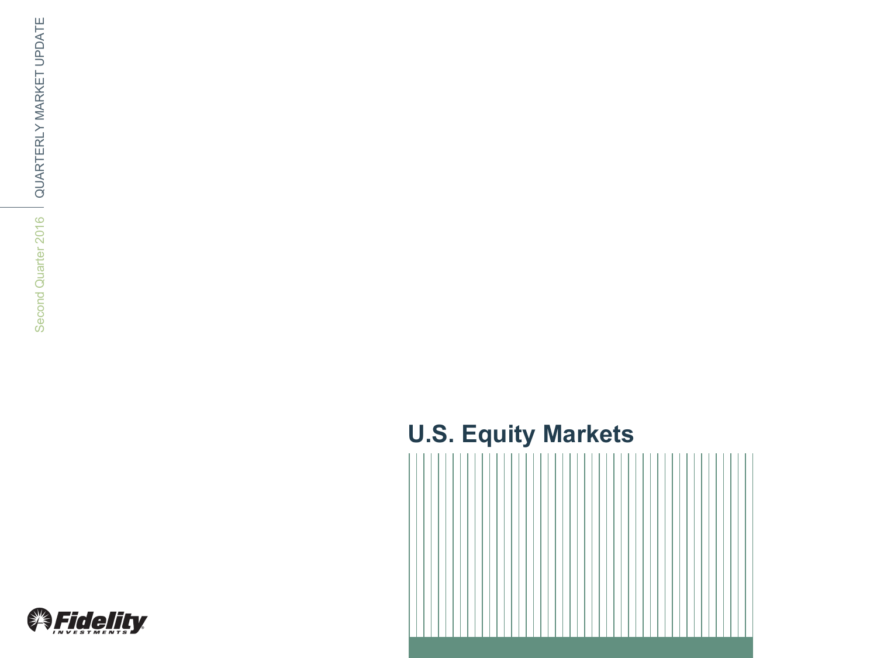### **U.S. Equity Markets**



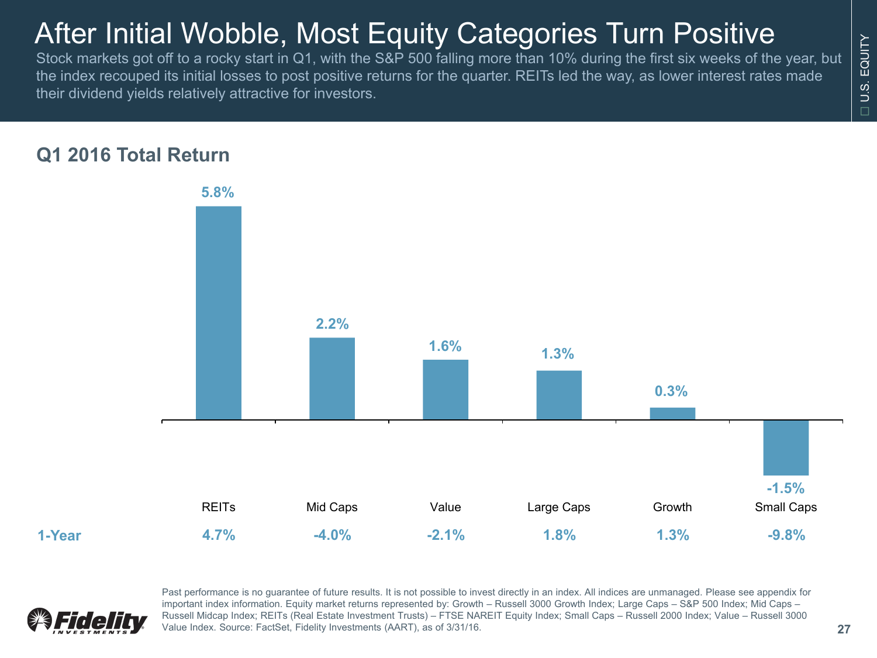## After Initial Wobble, Most Equity Categories Turn Positive

Stock markets got off to a rocky start in Q1, with the S&P 500 falling more than 10% during the first six weeks of the year, but the index recouped its initial losses to post positive returns for the quarter. REITs led the way, as lower interest rates made their dividend yields relatively attractive for investors.

#### **Q1 2016 Total Return**





Past performance is no guarantee of future results. It is not possible to invest directly in an index. All indices are unmanaged. Please see appendix for important index information. Equity market returns represented by: Growth – Russell 3000 Growth Index; Large Caps – S&P 500 Index; Mid Caps – Russell Midcap Index; REITs (Real Estate Investment Trusts) – FTSE NAREIT Equity Index; Small Caps – Russell 2000 Index; Value – Russell 3000 Value Index. Source: FactSet, Fidelity Investments (AART), as of 3/31/16. **27**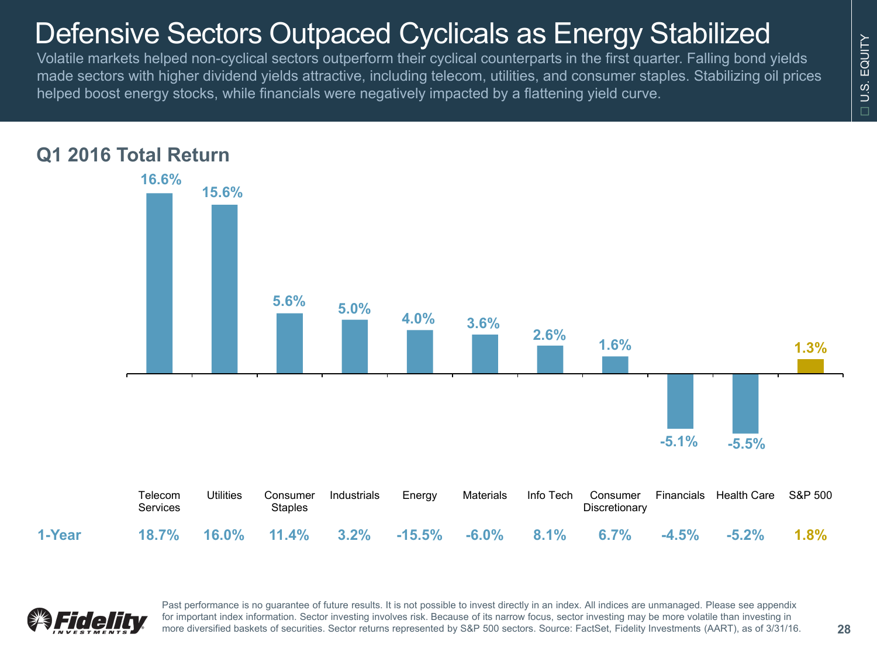### Defensive Sectors Outpaced Cyclicals as Energy Stabilized

Volatile markets helped non-cyclical sectors outperform their cyclical counterparts in the first quarter. Falling bond yields made sectors with higher dividend yields attractive, including telecom, utilities, and consumer staples. Stabilizing oil prices helped boost energy stocks, while financials were negatively impacted by a flattening yield curve.





Past performance is no guarantee of future results. It is not possible to invest directly in an index. All indices are unmanaged. Please see appendix for important index information. Sector investing involves risk. Because of its narrow focus, sector investing may be more volatile than investing in more diversified baskets of securities. Sector returns represented by S&P 500 sectors. Source: FactSet, Fidelity Investments (AART), as of 3/31/16. **28**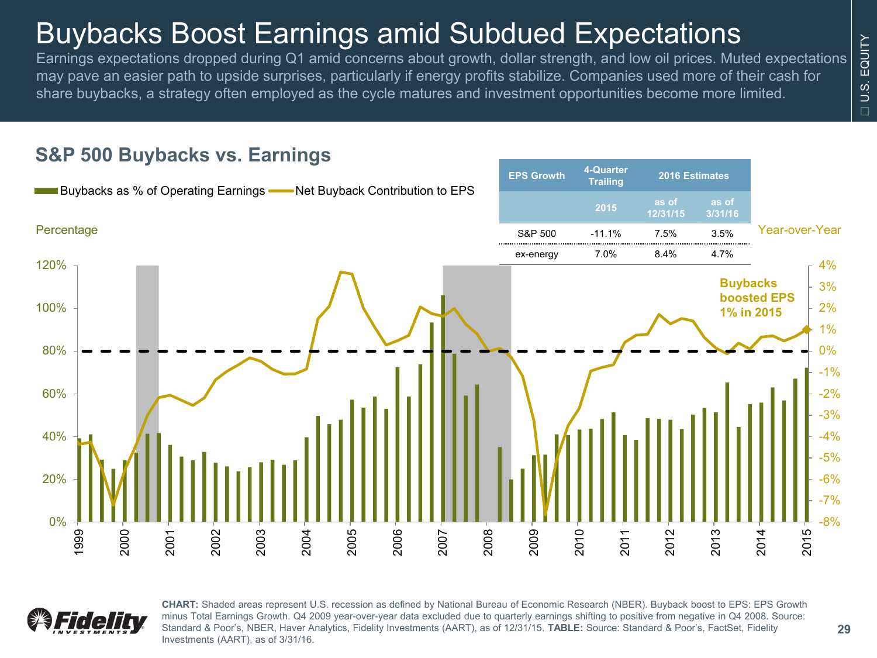### Buybacks Boost Earnings amid Subdued Expectations

Earnings expectations dropped during Q1 amid concerns about growth, dollar strength, and low oil prices. Muted expectations may pave an easier path to upside surprises, particularly if energy profits stabilize. Companies used more of their cash for share buybacks, a strategy often employed as the cycle matures and investment opportunities become more limited.

#### -8% -7% -6% -5% -4% -3% -2%  $-1%$ 0% 1% 2% 3% 4% 0% 20% 40% 60% 80% 100% 120% 1999 2000 2001 2002 2003 2004 2005 2006 2007 2008 2009 2010 2011 2012 2013 2014 2015 **Buybacks as % of Operating Earnings ——** Net Buyback Contribution to EPS Percentage Year-over-Year **Buybacks boosted EPS 1% in 2015 EPS Growth 4-Quarter Trailing 2016 Estimates <sup>2015</sup> as of 12/31/15 as of 3/31/16** S&P 500 -11.1% 7.5% 3.5% ex-energy 7.0% 8.4% 4.7%

#### **S&P 500 Buybacks vs. Earnings**



**CHART:** Shaded areas represent U.S. recession as defined by National Bureau of Economic Research (NBER). Buyback boost to EPS: EPS Growth minus Total Earnings Growth. Q4 2009 year-over-year data excluded due to quarterly earnings shifting to positive from negative in Q4 2008. Source: Standard & Poor's, NBER, Haver Analytics, Fidelity Investments (AART), as of 12/31/15. **TABLE:** Source: Standard & Poor's, FactSet, Fidelity Investments (AART), as of 3/31/16.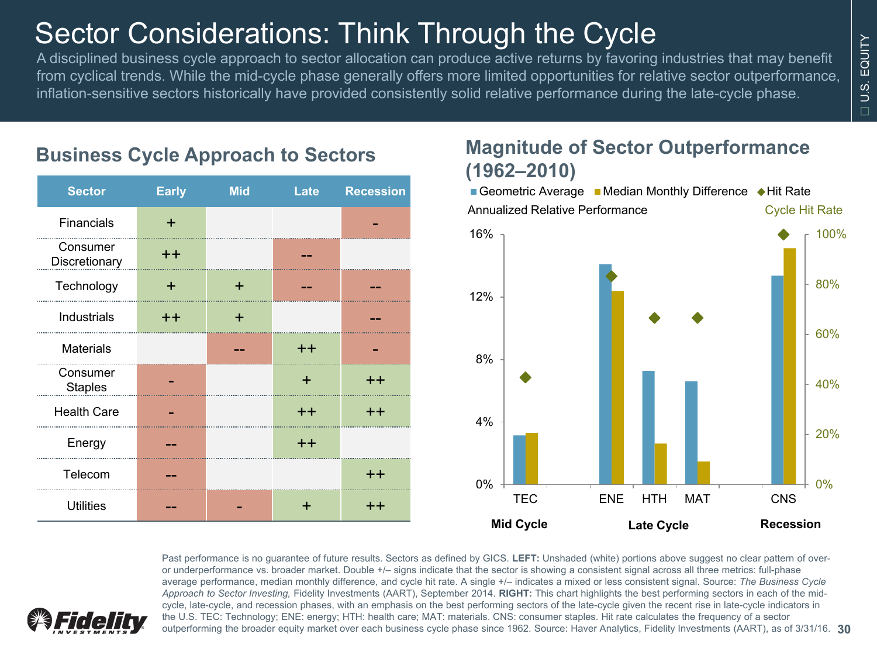## Sector Considerations: Think Through the Cycle

A disciplined business cycle approach to sector allocation can produce active returns by favoring industries that may benefit from cyclical trends. While the mid-cycle phase generally offers more limited opportunities for relative sector outperformance, inflation-sensitive sectors historically have provided consistently solid relative performance during the late-cycle phase.

| <b>Sector</b>              | <b>Early</b>    | <b>Mid</b> | Late  | <b>Recession</b> |
|----------------------------|-----------------|------------|-------|------------------|
| Financials                 | ÷               |            |       |                  |
| Consumer<br>Discretionary  | $^{\mathrm{+}}$ |            |       |                  |
| Technology                 | +               | ÷          |       |                  |
| Industrials                | $^{\mathrm{+}}$ | ٠          |       |                  |
| <b>Materials</b>           |                 |            | $++$  |                  |
| Consumer<br><b>Staples</b> |                 |            | ÷     | $++$             |
| <b>Health Care</b>         |                 |            | $++$  | $++$             |
| Energy                     |                 |            | $+ +$ |                  |
| Telecom                    |                 |            |       | $^{\mathrm{+}}$  |
| <b>Utilities</b>           |                 |            | +     | $^{\mathrm{+}}$  |

### **Business Cycle Approach to Sectors**

#### **Magnitude of Sector Outperformance (1962–2010)**



Past performance is no guarantee of future results. Sectors as defined by GICS. **LEFT:** Unshaded (white) portions above suggest no clear pattern of overor underperformance vs. broader market. Double +/- signs indicate that the sector is showing a consistent signal across all three metrics: full-phase average performance, median monthly difference, and cycle hit rate. A single +/– indicates a mixed or less consistent signal. Source: *The Business Cycle Approach to Sector Investing,* Fidelity Investments (AART), September 2014. **RIGHT:** This chart highlights the best performing sectors in each of the midcycle, late-cycle, and recession phases, with an emphasis on the best performing sectors of the late-cycle given the recent rise in late-cycle indicators in the U.S. TEC: Technology; ENE: energy; HTH: health care; MAT: materials. CNS: consumer staples. Hit rate calculates the frequency of a sector outperforming the broader equity market over each business cycle phase since 1962. Source: Haver Analytics, Fidelity Investments (AART), as of 3/31/16. **30**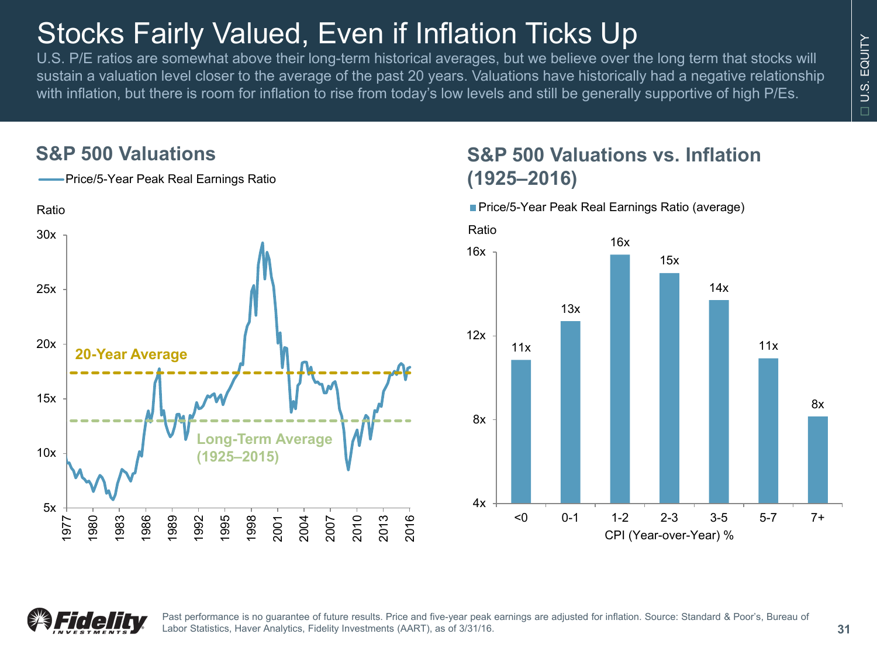## Stocks Fairly Valued, Even if Inflation Ticks Up

U.S. P/E ratios are somewhat above their long-term historical averages, but we believe over the long term that stocks will sustain a valuation level closer to the average of the past 20 years. Valuations have historically had a negative relationship with inflation, but there is room for inflation to rise from today's low levels and still be generally supportive of high P/Es.

#### **S&P 500 Valuations**



### **S&P 500 Valuations vs. Inflation (1925–2016)**

**Price/5-Year Peak Real Earnings Ratio (average)** 





Past performance is no guarantee of future results. Price and five-year peak earnings are adjusted for inflation. Source: Standard & Poor's, Bureau of Labor Statistics, Haver Analytics, Fidelity Investments (AART), as of 3/31/16.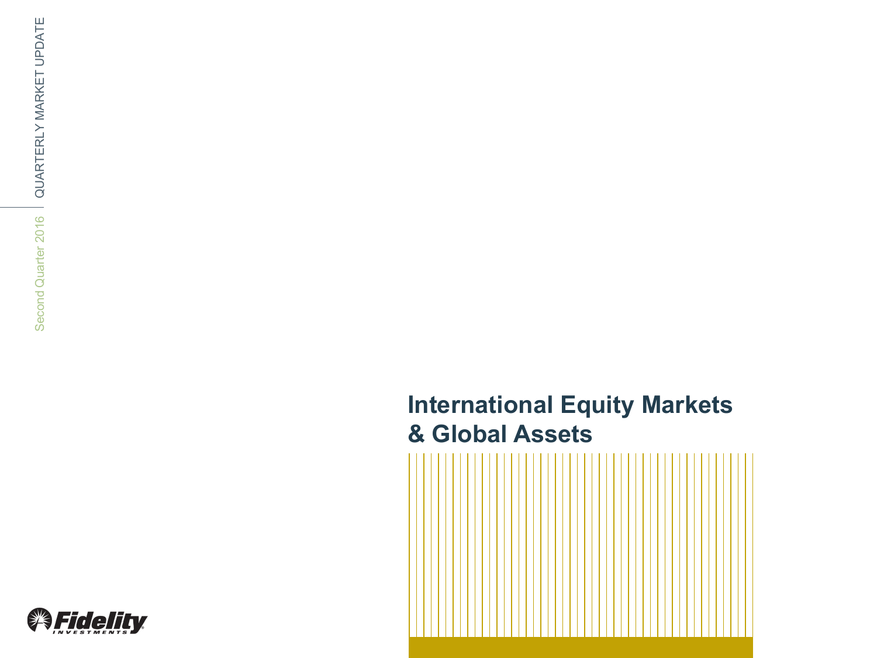### **International Equity Markets & Global Assets**



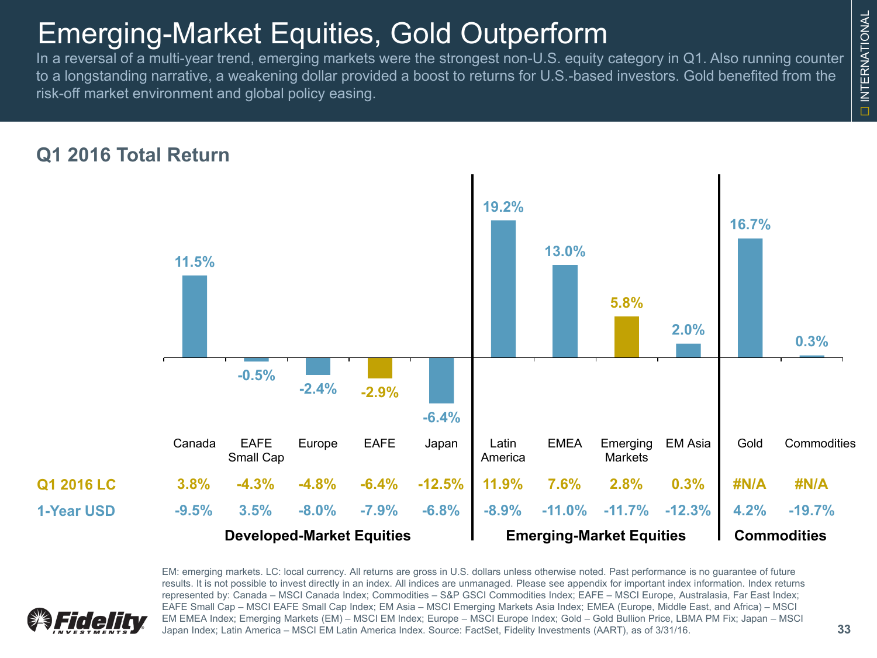### Emerging-Market Equities, Gold Outperform

In a reversal of a multi-year trend, emerging markets were the strongest non-U.S. equity category in Q1. Also running counter to a longstanding narrative, a weakening dollar provided a boost to returns for U.S.-based investors. Gold benefited from the risk-off market environment and global policy easing.



EM: emerging markets. LC: local currency. All returns are gross in U.S. dollars unless otherwise noted. Past performance is no guarantee of future



results. It is not possible to invest directly in an index. All indices are unmanaged. Please see appendix for important index information. Index returns represented by: Canada – MSCI Canada Index; Commodities – S&P GSCI Commodities Index; EAFE – MSCI Europe, Australasia, Far East Index; EAFE Small Cap – MSCI EAFE Small Cap Index; EM Asia – MSCI Emerging Markets Asia Index; EMEA (Europe, Middle East, and Africa) – MSCI EM EMEA Index; Emerging Markets (EM) – MSCI EM Index; Europe – MSCI Europe Index; Gold – Gold Bullion Price, LBMA PM Fix; Japan – MSCI Japan Index; Latin America – MSCI EM Latin America Index. Source: FactSet, Fidelity Investments (AART), as of 3/31/16.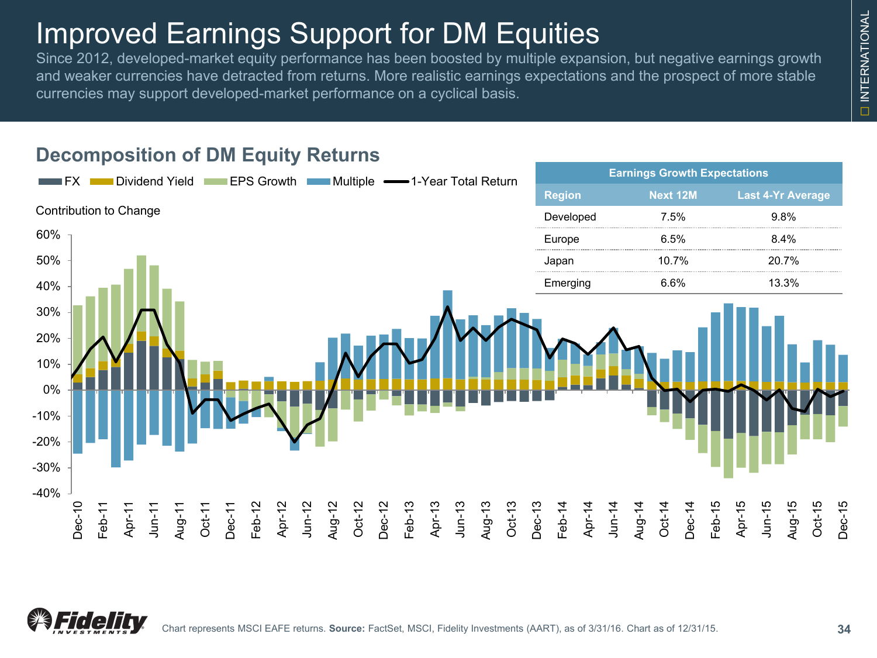### Improved Earnings Support for DM Equities

**Decomposition of DM Equity Returns**

Since 2012, developed-market equity performance has been boosted by multiple expansion, but negative earnings growth and weaker currencies have detracted from returns. More realistic earnings expectations and the prospect of more stable currencies may support developed-market performance on a cyclical basis.

**FX Dividend Yield EPS Growth Multiple 4-1-Year Total Return Expectations** Earnings Growth Expectations

# **Region Next 12M Last 4-Yr Average** Developed 7.5% 9.8% Europe 6.5% 8.4% Japan 10.7% 20.7% Emerging 6.6% 13.3% Contribution to Change





-30%

-20%

-10%

0%

10%

20%

30%

40%

50%

60%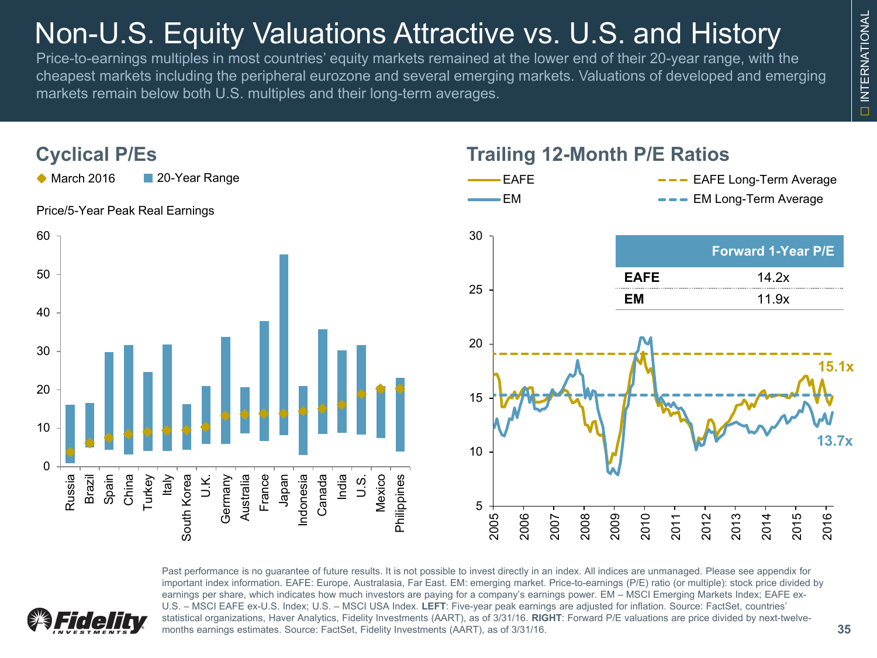## Non-U.S. Equity Valuations Attractive vs. U.S. and History

Price-to-earnings multiples in most countries' equity markets remained at the lower end of their 20-year range, with the cheapest markets including the peripheral eurozone and several emerging markets. Valuations of developed and emerging markets remain below both U.S. multiples and their long-term averages.



Past performance is no guarantee of future results. It is not possible to invest directly in an index. All indices are unmanaged. Please see appendix for important index information. EAFE: Europe, Australasia, Far East. EM: emerging market. Price-to-earnings (P/E) ratio (or multiple): stock price divided by earnings per share, which indicates how much investors are paying for a company's earnings power. EM – MSCI Emerging Markets Index; EAFE ex-U.S. – MSCI EAFE ex-U.S. Index; U.S. – MSCI USA Index. **LEFT**: Five-year peak earnings are adjusted for inflation. Source: FactSet, countries' statistical organizations, Haver Analytics, Fidelity Investments (AART), as of 3/31/16. **RIGHT**: Forward P/E valuations are price divided by next-twelvemonths earnings estimates. Source: FactSet, Fidelity Investments (AART), as of 3/31/16.

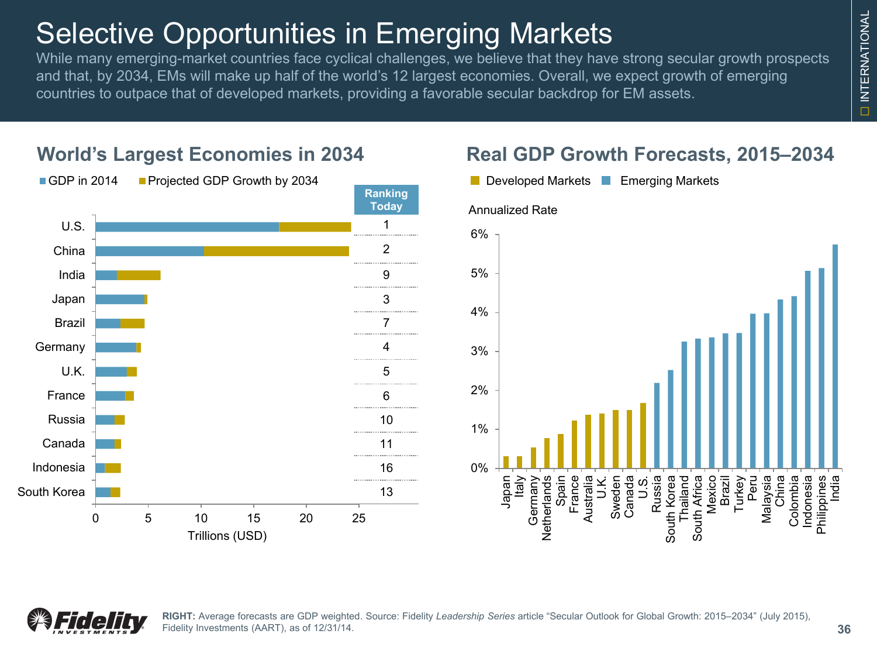## Selective Opportunities in Emerging Markets

While many emerging-market countries face cyclical challenges, we believe that they have strong secular growth prospects and that, by 2034, EMs will make up half of the world's 12 largest economies. Overall, we expect growth of emerging countries to outpace that of developed markets, providing a favorable secular backdrop for EM assets.



#### **World's Largest Economies in 2034**



**Real GDP Growth Forecasts, 2015–2034**

### **36**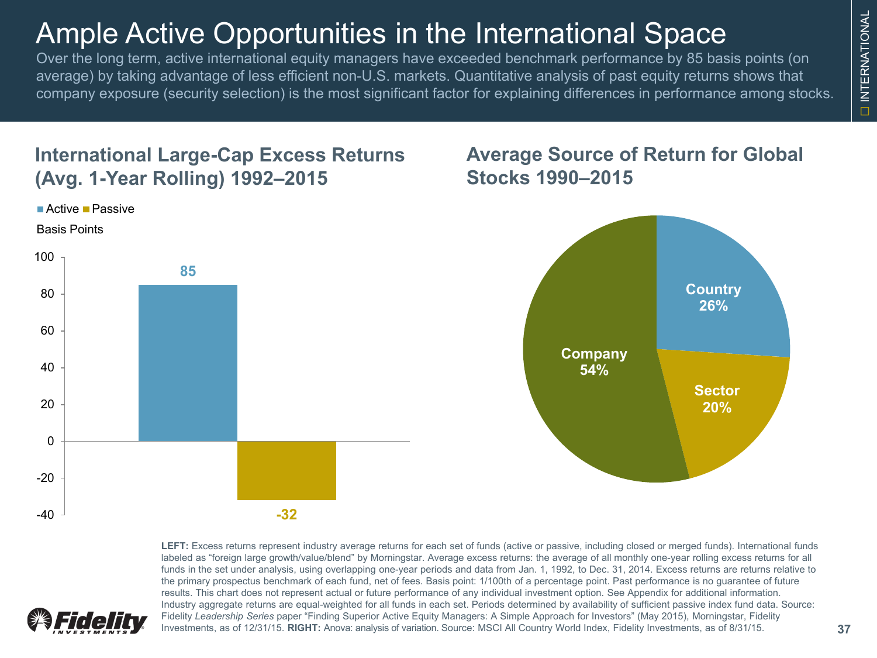### Ample Active Opportunities in the International Space

Over the long term, active international equity managers have exceeded benchmark performance by 85 basis points (on average) by taking advantage of less efficient non-U.S. markets. Quantitative analysis of past equity returns shows that company exposure (security selection) is the most significant factor for explaining differences in performance among stocks.

#### **International Large-Cap Excess Returns (Avg. 1-Year Rolling) 1992–2015**

Active Passive

### **85**  $-40$  **-32** -20 0 20 40 60 80 100 Basis Points

#### **Average Source of Return for Global Stocks 1990–2015**



**LEFT:** Excess returns represent industry average returns for each set of funds (active or passive, including closed or merged funds). International funds labeled as "foreign large growth/value/blend" by Morningstar. Average excess returns: the average of all monthly one-year rolling excess returns for all funds in the set under analysis, using overlapping one-year periods and data from Jan. 1, 1992, to Dec. 31, 2014. Excess returns are returns relative to the primary prospectus benchmark of each fund, net of fees. Basis point: 1/100th of a percentage point. Past performance is no guarantee of future results. This chart does not represent actual or future performance of any individual investment option. See Appendix for additional information. Industry aggregate returns are equal-weighted for all funds in each set. Periods determined by availability of sufficient passive index fund data. Source: Fidelity *Leadership Series* paper "Finding Superior Active Equity Managers: A Simple Approach for Investors" (May 2015), Morningstar, Fidelity Investments, as of 12/31/15. **RIGHT:** Anova: analysis of variation. Source: MSCI All Country World Index, Fidelity Investments, as of 8/31/15.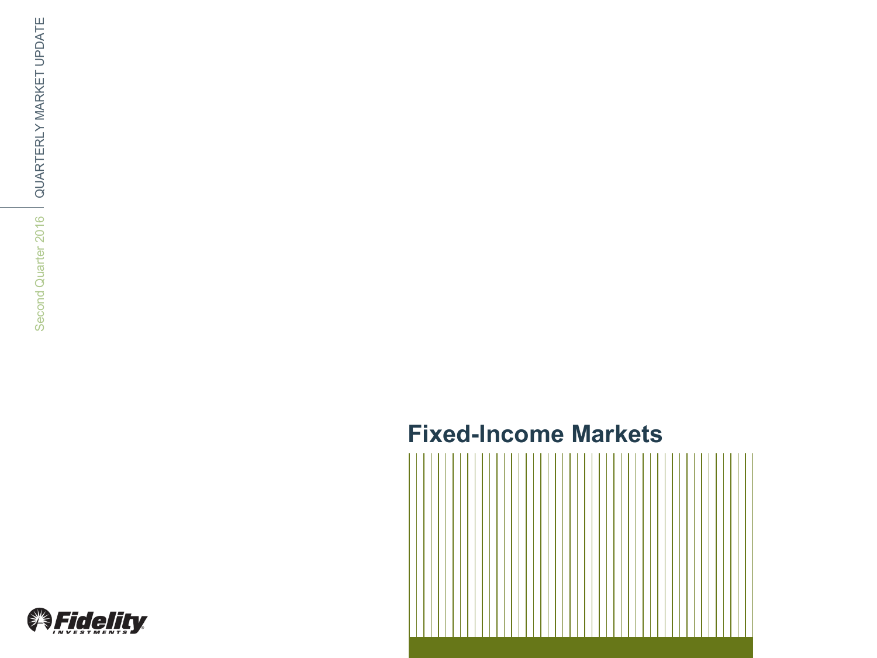### **Fixed -Income Markets**



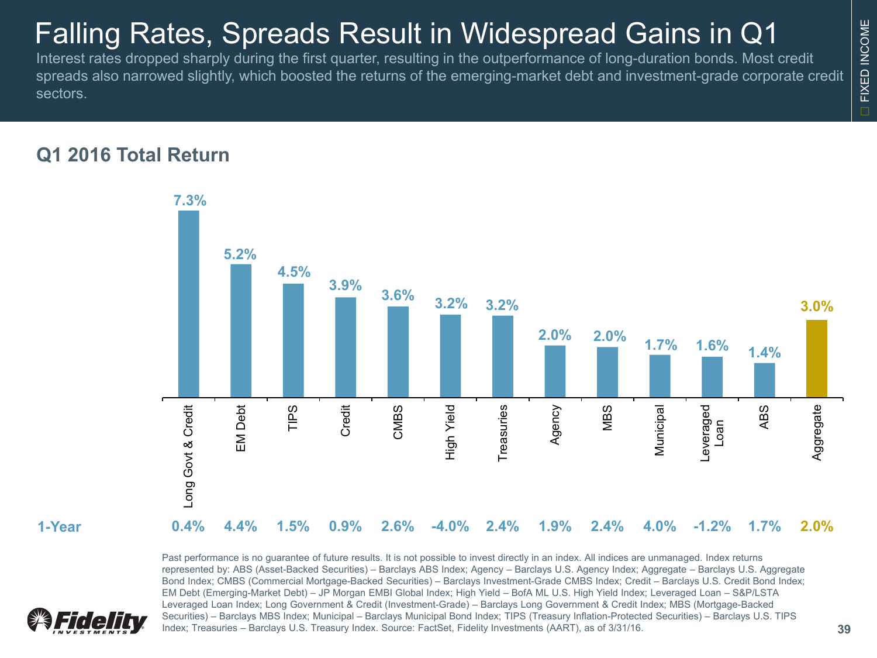### Falling Rates, Spreads Result in Widespread Gains in Q1

Interest rates dropped sharply during the first quarter, resulting in the outperformance of long-duration bonds. Most credit spreads also narrowed slightly, which boosted the returns of the emerging-market debt and investment-grade corporate credit sectors.

#### **Q1 2016 Total Return**



Past performance is no guarantee of future results. It is not possible to invest directly in an index. All indices are unmanaged. Index returns represented by: ABS (Asset-Backed Securities) – Barclays ABS Index; Agency – Barclays U.S. Agency Index; Aggregate – Barclays U.S. Aggregate Bond Index; CMBS (Commercial Mortgage-Backed Securities) – Barclays Investment-Grade CMBS Index; Credit – Barclays U.S. Credit Bond Index; EM Debt (Emerging-Market Debt) – JP Morgan EMBI Global Index; High Yield – BofA ML U.S. High Yield Index; Leveraged Loan – S&P/LSTA Leveraged Loan Index; Long Government & Credit (Investment-Grade) – Barclays Long Government & Credit Index; MBS (Mortgage-Backed Securities) – Barclays MBS Index; Municipal – Barclays Municipal Bond Index; TIPS (Treasury Inflation-Protected Securities) – Barclays U.S. TIPS Index; Treasuries – Barclays U.S. Treasury Index. Source: FactSet, Fidelity Investments (AART), as of 3/31/16. **39**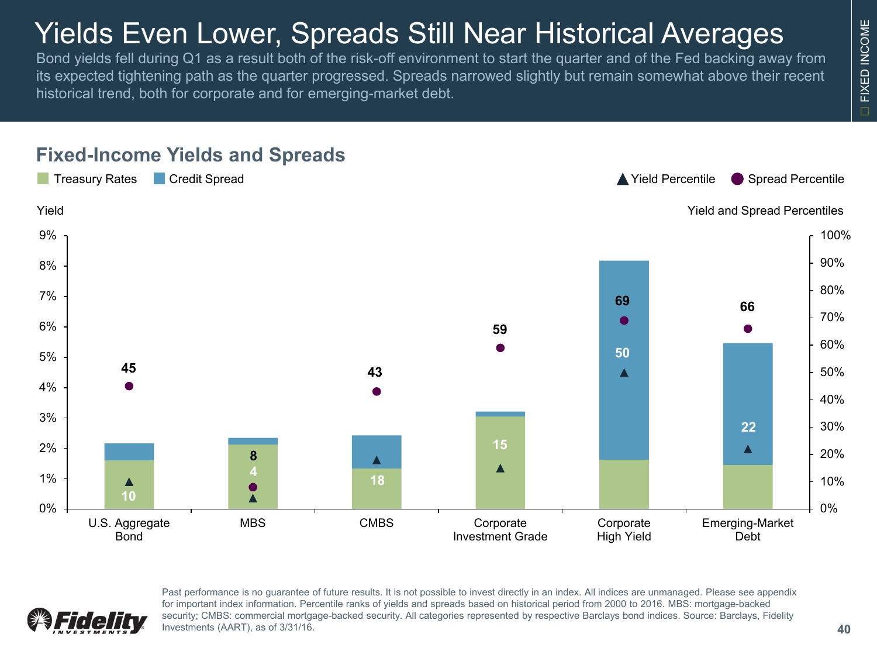## Yields Even Lower, Spreads Still Near Historical Averages

Bond yields fell during Q1 as a result both of the risk-off environment to start the quarter and of the Fed backing away from its expected tightening path as the quarter progressed. Spreads narrowed slightly but remain somewhat above their recent historical trend, both for corporate and for emerging-market debt.



#### **Fixed-Income Yields and Spreads**



Past performance is no guarantee of future results. It is not possible to invest directly in an index. All indices are unmanaged. Please see appendix for important index information. Percentile ranks of yields and spreads based on historical period from 2000 to 2016. MBS: mortgage-backed security; CMBS: commercial mortgage-backed security. All categories represented by respective Barclays bond indices. Source: Barclays, Fidelity Investments (AART), as of 3/31/16.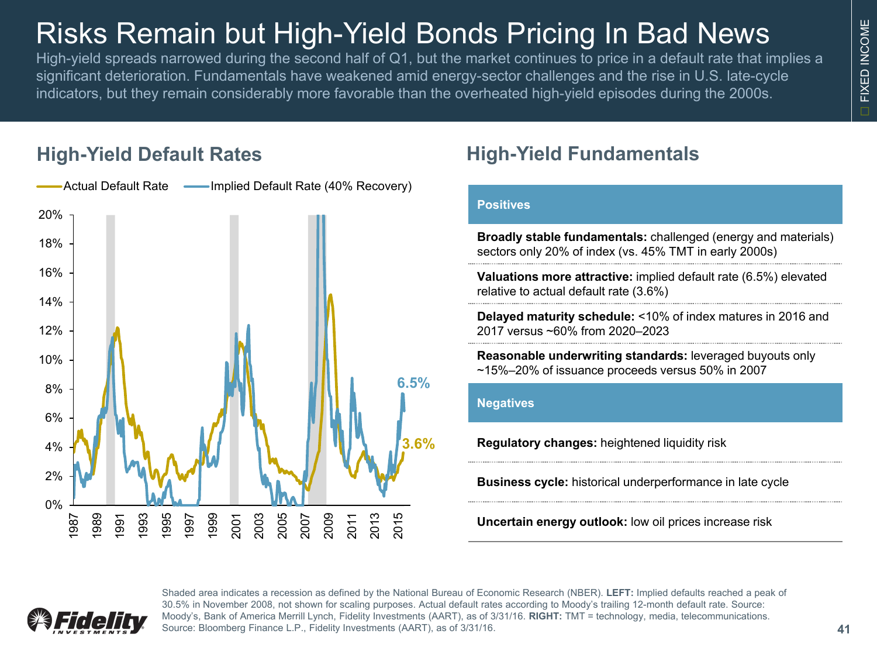## Risks Remain but High-Yield Bonds Pricing In Bad News

High-yield spreads narrowed during the second half of Q1, but the market continues to price in a default rate that implies a significant deterioration. Fundamentals have weakened amid energy-sector challenges and the rise in U.S. late-cycle indicators, but they remain considerably more favorable than the overheated high-yield episodes during the 2000s.

#### **High-Yield Default Rates**



### **High-Yield Fundamentals**

#### **Positives**

**Broadly stable fundamentals:** challenged (energy and materials) sectors only 20% of index (vs. 45% TMT in early 2000s)

**Valuations more attractive:** implied default rate (6.5%) elevated relative to actual default rate (3.6%)

**Delayed maturity schedule:** <10% of index matures in 2016 and 2017 versus ~60% from 2020–2023

**Reasonable underwriting standards:** leveraged buyouts only ~15%–20% of issuance proceeds versus 50% in 2007

#### **Negatives**

**Regulatory changes:** heightened liquidity risk

**Business cycle:** historical underperformance in late cycle

**Uncertain energy outlook:** low oil prices increase risk



Shaded area indicates a recession as defined by the National Bureau of Economic Research (NBER). **LEFT:** Implied defaults reached a peak of 30.5% in November 2008, not shown for scaling purposes. Actual default rates according to Moody's trailing 12-month default rate. Source: Moody's, Bank of America Merrill Lynch, Fidelity Investments (AART), as of 3/31/16. **RIGHT:** TMT = technology, media, telecommunications. Source: Bloomberg Finance L.P., Fidelity Investments (AART), as of 3/31/16.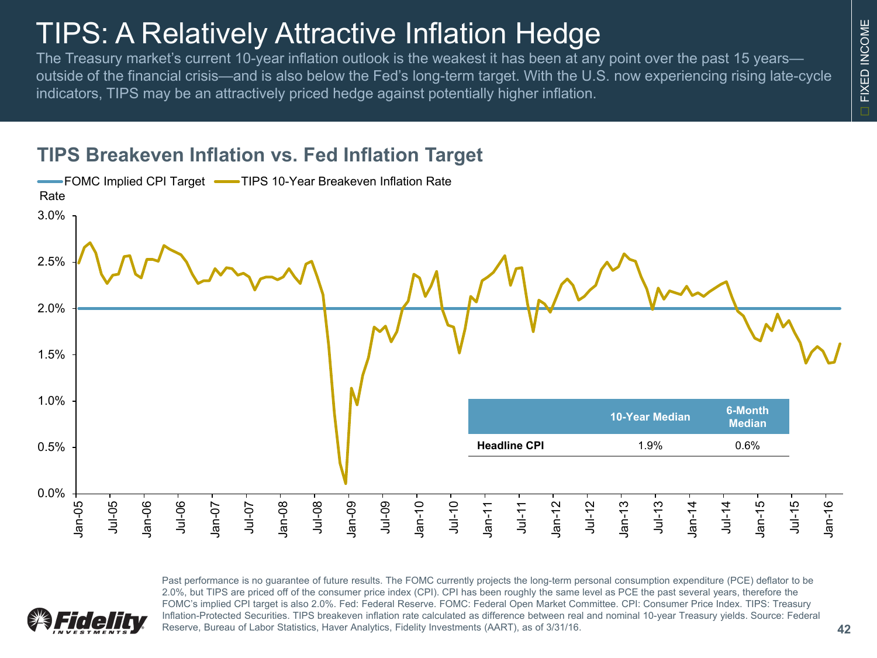### TIPS: A Relatively Attractive Inflation Hedge

The Treasury market's current 10-year inflation outlook is the weakest it has been at any point over the past 15 years outside of the financial crisis—and is also below the Fed's long-term target. With the U.S. now experiencing rising late-cycle indicators, TIPS may be an attractively priced hedge against potentially higher inflation.

#### **TIPS Breakeven Inflation vs. Fed Inflation Target**



Past performance is no guarantee of future results. The FOMC currently projects the long-term personal consumption expenditure (PCE) deflator to be 2.0%, but TIPS are priced off of the consumer price index (CPI). CPI has been roughly the same level as PCE the past several years, therefore the FOMC's implied CPI target is also 2.0%. Fed: Federal Reserve. FOMC: Federal Open Market Committee. CPI: Consumer Price Index. TIPS: Treasury Inflation-Protected Securities. TIPS breakeven inflation rate calculated as difference between real and nominal 10-year Treasury yields. Source: Federal Reserve, Bureau of Labor Statistics, Haver Analytics, Fidelity Investments (AART), as of 3/31/16.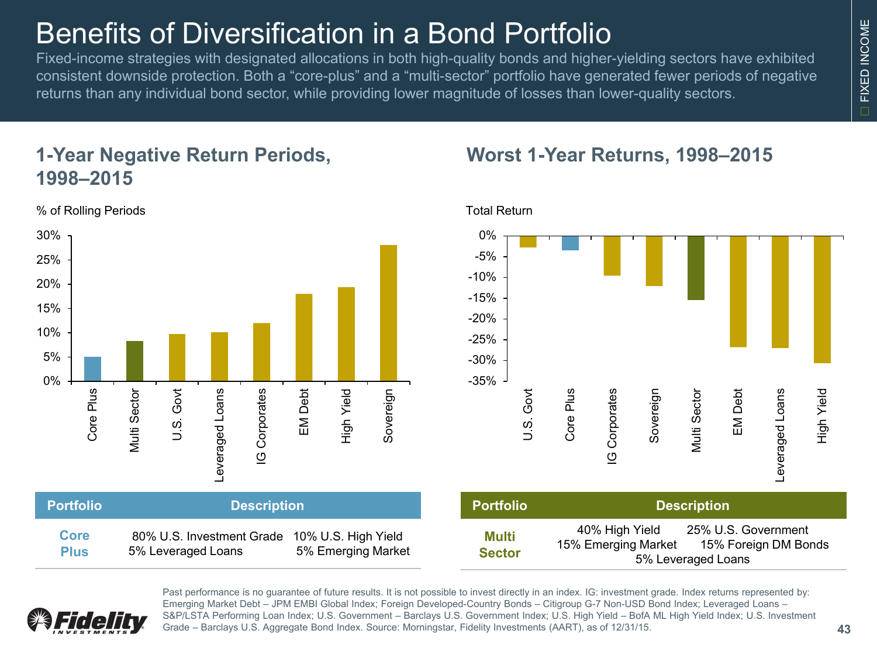### Benefits of Diversification in a Bond Portfolio

Fixed-income strategies with designated allocations in both high-quality bonds and higher-yielding sectors have exhibited consistent downside protection. Both a "core-plus" and a "multi-sector" portfolio have generated fewer periods of negative returns than any individual bond sector, while providing lower magnitude of losses than lower-quality sectors.

### **1-Year Negative Return Periods, 1998–2015**

% of Rolling Periods **Total Return** 8 % of Rolling Periods **Total Return** 



#### **Worst 1-Year Returns, 1998–2015**





Past performance is no guarantee of future results. It is not possible to invest directly in an index. IG: investment grade. Index returns represented by: Emerging Market Debt – JPM EMBI Global Index; Foreign Developed-Country Bonds – Citigroup G-7 Non-USD Bond Index; Leveraged Loans – S&P/LSTA Performing Loan Index; U.S. Government – Barclays U.S. Government Index; U.S. High Yield – BofA ML High Yield Index; U.S. Investment Grade – Barclays U.S. Aggregate Bond Index. Source: Morningstar, Fidelity Investments (AART), as of 12/31/15.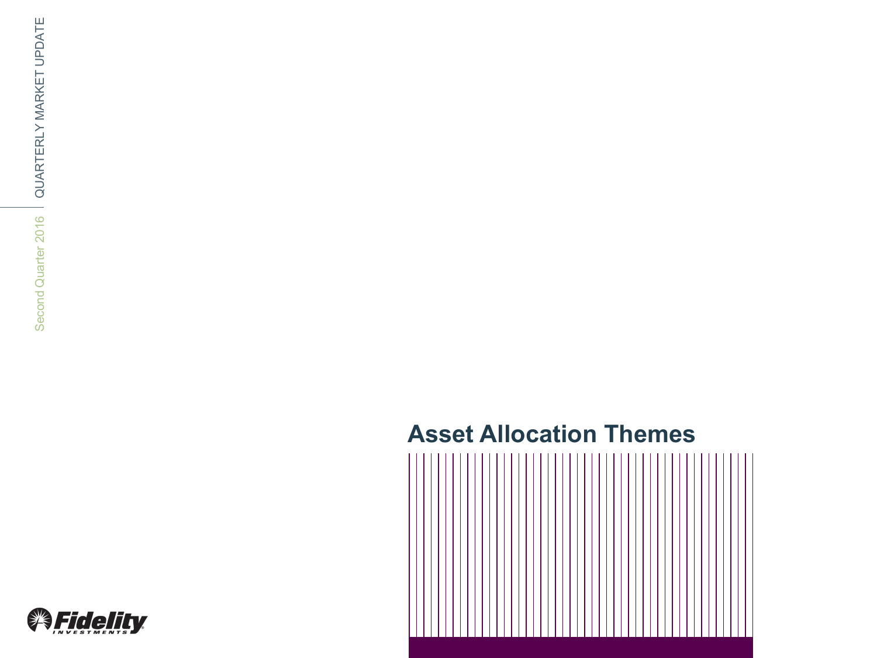### **Asset Allocation Themes**



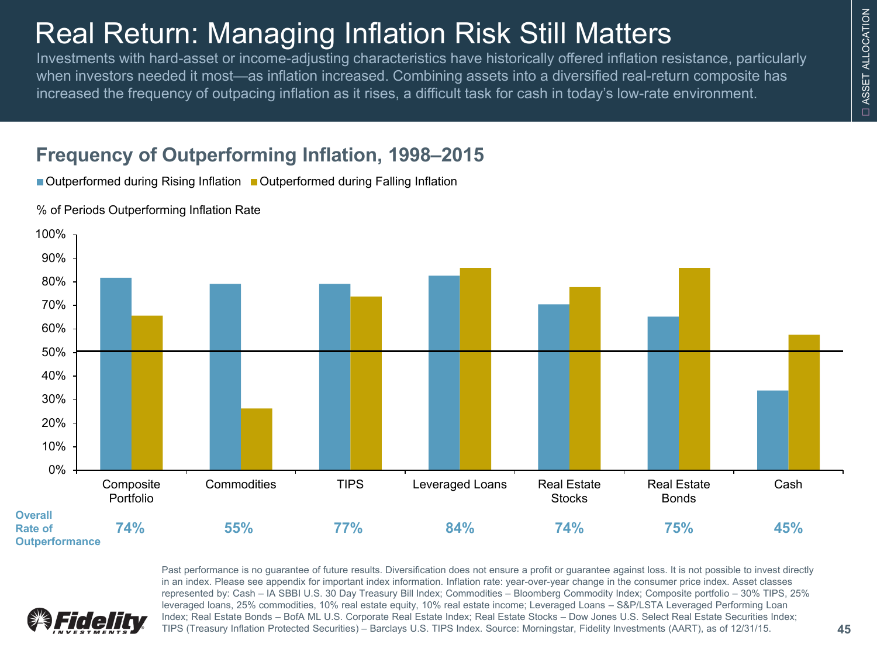## Real Return: Managing Inflation Risk Still Matters

Investments with hard-asset or income-adjusting characteristics have historically offered inflation resistance, particularly when investors needed it most—as inflation increased. Combining assets into a diversified real-return composite has increased the frequency of outpacing inflation as it rises, a difficult task for cash in today's low-rate environment.

### **Frequency of Outperforming Inflation, 1998–2015**

■ Outperformed during Rising Inflation ■ Outperformed during Falling Inflation



% of Periods Outperforming Inflation Rate



Past performance is no guarantee of future results. Diversification does not ensure a profit or guarantee against loss. It is not possible to invest directly in an index. Please see appendix for important index information. Inflation rate: year-over-year change in the consumer price index. Asset classes represented by: Cash – IA SBBI U.S. 30 Day Treasury Bill Index; Commodities – Bloomberg Commodity Index; Composite portfolio – 30% TIPS, 25% leveraged loans, 25% commodities, 10% real estate equity, 10% real estate income; Leveraged Loans – S&P/LSTA Leveraged Performing Loan Index; Real Estate Bonds – BofA ML U.S. Corporate Real Estate Index; Real Estate Stocks – Dow Jones U.S. Select Real Estate Securities Index; TIPS (Treasury Inflation Protected Securities) – Barclays U.S. TIPS Index. Source: Morningstar, Fidelity Investments (AART), as of 12/31/15. **45**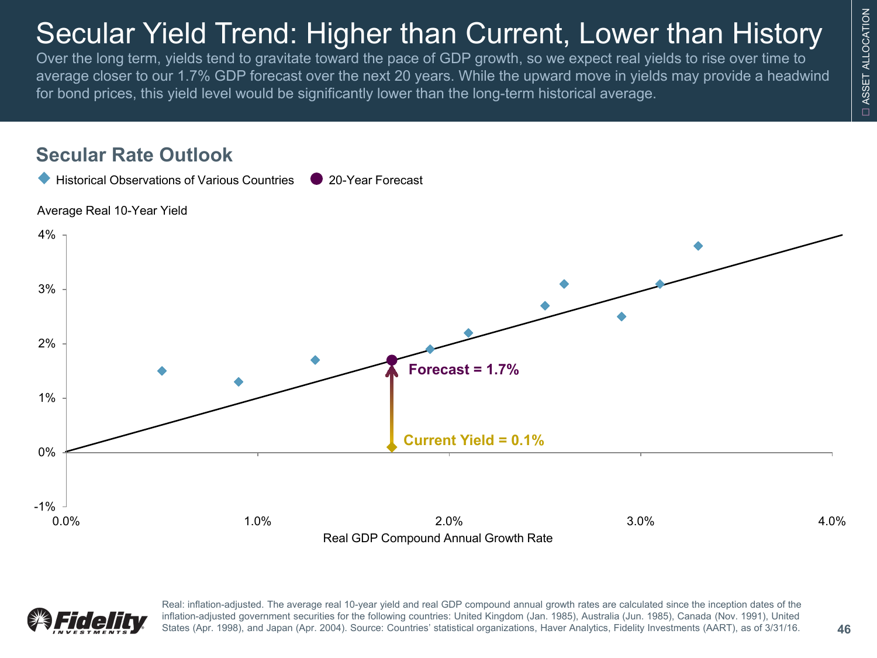## ASSET ALLOCATION ASSET ALLOCATION ä

## Secular Yield Trend: Higher than Current, Lower than History

Over the long term, yields tend to gravitate toward the pace of GDP growth, so we expect real yields to rise over time to average closer to our 1.7% GDP forecast over the next 20 years. While the upward move in yields may provide a headwind for bond prices, this yield level would be significantly lower than the long-term historical average.





Real: inflation-adjusted. The average real 10-year yield and real GDP compound annual growth rates are calculated since the inception dates of the inflation-adjusted government securities for the following countries: United Kingdom (Jan. 1985), Australia (Jun. 1985), Canada (Nov. 1991), United States (Apr. 1998), and Japan (Apr. 2004). Source: Countries' statistical organizations, Haver Analytics, Fidelity Investments (AART), as of 3/31/16.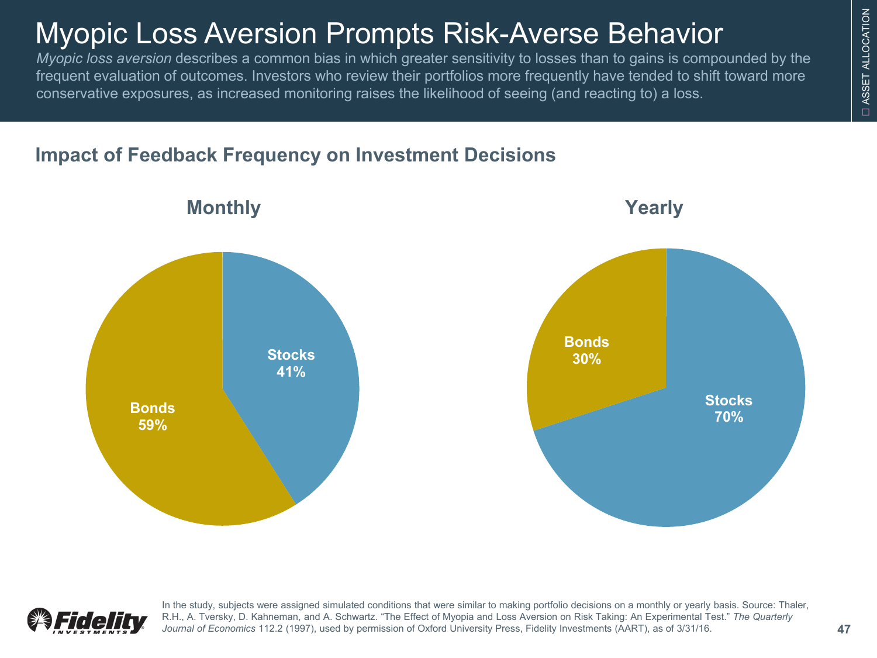## Myopic Loss Aversion Prompts Risk-Averse Behavior

*Myopic loss aversion* describes a common bias in which greater sensitivity to losses than to gains is compounded by the frequent evaluation of outcomes. Investors who review their portfolios more frequently have tended to shift toward more conservative exposures, as increased monitoring raises the likelihood of seeing (and reacting to) a loss.

### **Impact of Feedback Frequency on Investment Decisions**





In the study, subjects were assigned simulated conditions that were similar to making portfolio decisions on a monthly or yearly basis. Source: Thaler, R.H., A. Tversky, D. Kahneman, and A. Schwartz. "The Effect of Myopia and Loss Aversion on Risk Taking: An Experimental Test." *The Quarterly Journal of Economics* 112.2 (1997), used by permission of Oxford University Press, Fidelity Investments (AART), as of 3/31/16.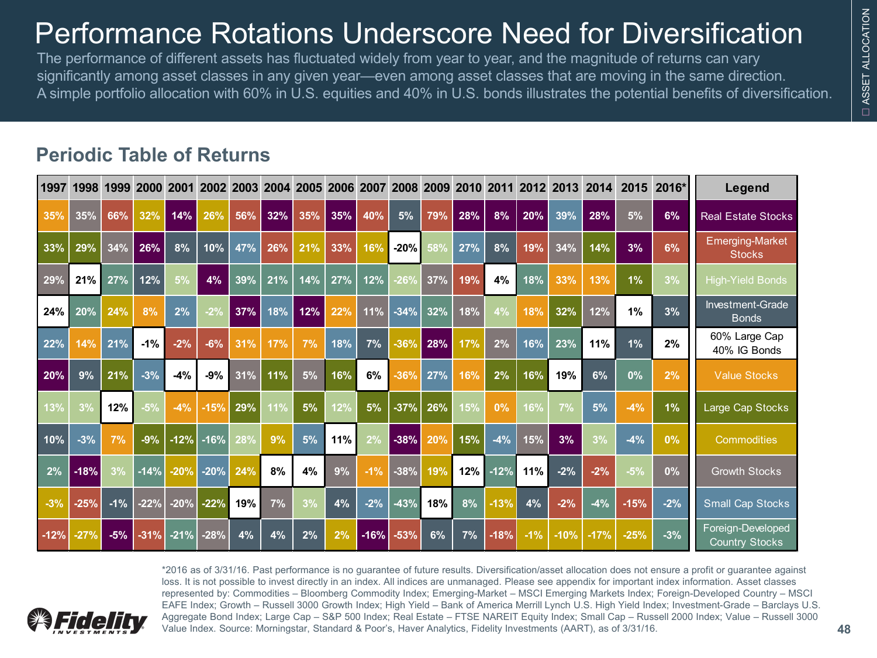## Performance Rotations Underscore Need for Diversification

The performance of different assets has fluctuated widely from year to year, and the magnitude of returns can vary significantly among asset classes in any given year—even among asset classes that are moving in the same direction. A simple portfolio allocation with 60% in U.S. equities and 40% in U.S. bonds illustrates the potential benefits of diversification.

#### **Periodic Table of Returns**

| 1997   | 1998   | 1999  | 2000   | 2001   | 2002   | 2003 | 2004 | 2005 | 2006 | 2007   | 2008   | 2009 | 2010 | 2011   | 2012  | 2013   | 2014   | 2015   | 2016* | Legend                                     |
|--------|--------|-------|--------|--------|--------|------|------|------|------|--------|--------|------|------|--------|-------|--------|--------|--------|-------|--------------------------------------------|
| 35%    | 35%    | 66%   | 32%    | 14%    | 26%    | 56%  | 32%  | 35%  | 35%  | 40%    | 5%     | 79%  | 28%  | 8%     | 20%   | 39%    | 28%    | 5%     | 6%    | <b>Real Estate Stocks</b>                  |
| 33%    | 29%    | 34%   | 26%    | 8%     | 10%    | 47%  | 26%  | 21%  | 33%  | 16%    | $-20%$ | 58%  | 27%  | 8%     | 19%   | 34%    | 14%    | 3%     | 6%    | <b>Emerging-Market</b><br><b>Stocks</b>    |
| 29%    | 21%    | 27%   | 12%    | 5%     | 4%     | 39%  | 21%  | 14%  | 27%  | 12%    | $-26%$ | 37%  | 19%  | 4%     | 18%   | 33%    | 13%    | 1%     | 3%    | <b>High-Yield Bonds</b>                    |
| 24%    | 20%    | 24%   | 8%     | 2%     | $-2%$  | 37%  | 18%  | 12%  | 22%  | 11%    | $-34%$ | 32%  | 18%  | 4%     | 18%   | 32%    | 12%    | 1%     | 3%    | Investment-Grade<br><b>Bonds</b>           |
| 22%    | 14%    | 21%   | $-1%$  | $-2%$  | $-6%$  | 31%  | 17%  | 7%   | 18%  | 7%     | $-36%$ | 28%  | 17%  | 2%     | 16%   | 23%    | 11%    | 1%     | 2%    | 60% Large Cap<br>40% IG Bonds              |
| 20%    | 9%     | 21%   | $-3%$  | $-4%$  | -9%    | 31%  | 11%  | 5%   | 16%  | 6%     | $-36%$ | 27%  | 16%  | 2%     | 16%   | 19%    | 6%     | 0%     | 2%    | <b>Value Stocks</b>                        |
| 13%    | 3%     | 12%   | $-5%$  | $-4%$  | $-15%$ | 29%  | 11%  | 5%   | 2%   | 5%     | $-37%$ | 26%  | 15%  | 0%     | 16%   | 7%     | 5%     | $-4%$  | 1%    | Large Cap Stocks                           |
| 10%    | $-3%$  | 7%    | $-9%$  | $-12%$ | $-16%$ | 28%  | 9%   | 5%   | 11%  | 2%     | $-38%$ | 20%  | 15%  | $-4%$  | 15%   | 3%     | 3%     | $-4%$  | 0%    | <b>Commodities</b>                         |
| 2%     | $-18%$ | 3%    | $-14%$ | $-20%$ | $-20%$ | 24%  | 8%   | 4%   | 9%   | $-1%$  | $-38%$ | 19%  | 12%  | $-12%$ | 11%   | $-2%$  | $-2%$  | $-5%$  | 0%    | <b>Growth Stocks</b>                       |
| $-3%$  | $-25%$ | $-1%$ | $-22%$ | $-20%$ | $-22%$ | 19%  | 7%   | 3%   | 4%   | $-2%$  | $-43%$ | 18%  | 8%   | $-13%$ | 4%    | $-2%$  | $-4%$  | $-15%$ | $-2%$ | <b>Small Cap Stocks</b>                    |
| $-12%$ | $-27%$ | $-5%$ | $-31%$ | $-21%$ | $-28%$ | 4%   | 4%   | 2%   | 2%   | $-16%$ | $-53%$ | 6%   | 7%   | $-18%$ | $-1%$ | $-10%$ | $-17%$ | $-25%$ | $-3%$ | Foreign-Developed<br><b>Country Stocks</b> |



\*2016 as of 3/31/16. Past performance is no guarantee of future results. Diversification/asset allocation does not ensure a profit or guarantee against loss. It is not possible to invest directly in an index. All indices are unmanaged. Please see appendix for important index information. Asset classes represented by: Commodities – Bloomberg Commodity Index; Emerging-Market – MSCI Emerging Markets Index; Foreign-Developed Country – MSCI EAFE Index; Growth – Russell 3000 Growth Index; High Yield – Bank of America Merrill Lynch U.S. High Yield Index; Investment-Grade – Barclays U.S. Aggregate Bond Index; Large Cap – S&P 500 Index; Real Estate – FTSE NAREIT Equity Index; Small Cap – Russell 2000 Index; Value – Russell 3000 Value Index. Source: Morningstar, Standard & Poor's, Haver Analytics, Fidelity Investments (AART), as of 3/31/16. **48**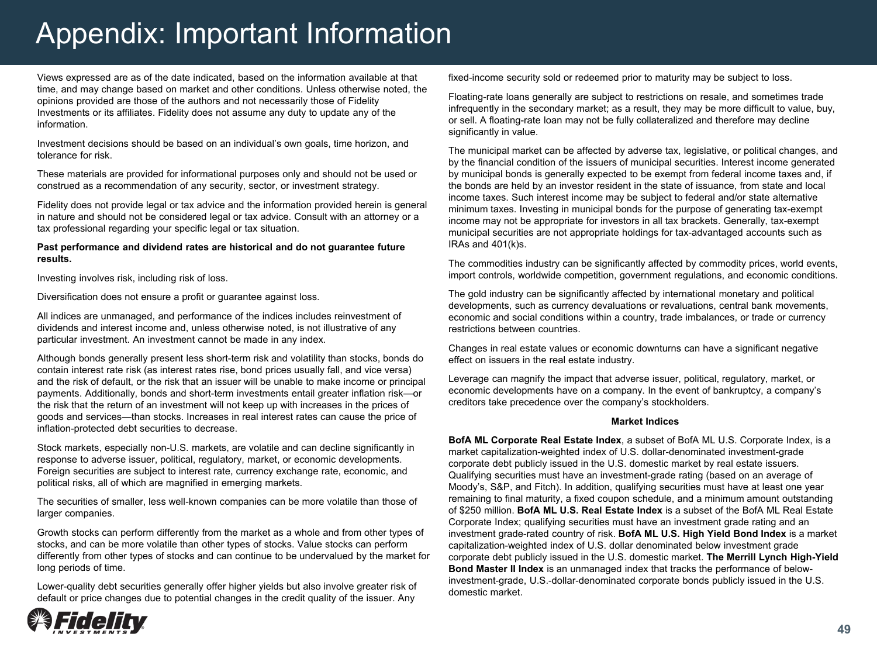Views expressed are as of the date indicated, based on the information available at that time, and may change based on market and other conditions. Unless otherwise noted, the opinions provided are those of the authors and not necessarily those of Fidelity Investments or its affiliates. Fidelity does not assume any duty to update any of the information.

Investment decisions should be based on an individual's own goals, time horizon, and tolerance for risk.

These materials are provided for informational purposes only and should not be used or construed as a recommendation of any security, sector, or investment strategy.

Fidelity does not provide legal or tax advice and the information provided herein is general in nature and should not be considered legal or tax advice. Consult with an attorney or a tax professional regarding your specific legal or tax situation.

#### **Past performance and dividend rates are historical and do not guarantee future results.**

Investing involves risk, including risk of loss.

Diversification does not ensure a profit or guarantee against loss.

All indices are unmanaged, and performance of the indices includes reinvestment of dividends and interest income and, unless otherwise noted, is not illustrative of any particular investment. An investment cannot be made in any index.

Although bonds generally present less short-term risk and volatility than stocks, bonds do contain interest rate risk (as interest rates rise, bond prices usually fall, and vice versa) and the risk of default, or the risk that an issuer will be unable to make income or principal payments. Additionally, bonds and short-term investments entail greater inflation risk—or the risk that the return of an investment will not keep up with increases in the prices of goods and services—than stocks. Increases in real interest rates can cause the price of inflation-protected debt securities to decrease.

Stock markets, especially non-U.S. markets, are volatile and can decline significantly in response to adverse issuer, political, regulatory, market, or economic developments. Foreign securities are subject to interest rate, currency exchange rate, economic, and political risks, all of which are magnified in emerging markets.

The securities of smaller, less well-known companies can be more volatile than those of larger companies.

Growth stocks can perform differently from the market as a whole and from other types of stocks, and can be more volatile than other types of stocks. Value stocks can perform differently from other types of stocks and can continue to be undervalued by the market for long periods of time.

Lower-quality debt securities generally offer higher yields but also involve greater risk of default or price changes due to potential changes in the credit quality of the issuer. Any

fixed-income security sold or redeemed prior to maturity may be subject to loss.

Floating-rate loans generally are subject to restrictions on resale, and sometimes trade infrequently in the secondary market; as a result, they may be more difficult to value, buy, or sell. A floating-rate loan may not be fully collateralized and therefore may decline significantly in value.

The municipal market can be affected by adverse tax, legislative, or political changes, and by the financial condition of the issuers of municipal securities. Interest income generated by municipal bonds is generally expected to be exempt from federal income taxes and, if the bonds are held by an investor resident in the state of issuance, from state and local income taxes. Such interest income may be subject to federal and/or state alternative minimum taxes. Investing in municipal bonds for the purpose of generating tax-exempt income may not be appropriate for investors in all tax brackets. Generally, tax-exempt municipal securities are not appropriate holdings for tax-advantaged accounts such as IRAs and 401(k)s.

The commodities industry can be significantly affected by commodity prices, world events, import controls, worldwide competition, government regulations, and economic conditions.

The gold industry can be significantly affected by international monetary and political developments, such as currency devaluations or revaluations, central bank movements, economic and social conditions within a country, trade imbalances, or trade or currency restrictions between countries.

Changes in real estate values or economic downturns can have a significant negative effect on issuers in the real estate industry.

Leverage can magnify the impact that adverse issuer, political, regulatory, market, or economic developments have on a company. In the event of bankruptcy, a company's creditors take precedence over the company's stockholders.

#### **Market Indices**

**BofA ML Corporate Real Estate Index**, a subset of BofA ML U.S. Corporate Index, is a market capitalization-weighted index of U.S. dollar-denominated investment-grade corporate debt publicly issued in the U.S. domestic market by real estate issuers. Qualifying securities must have an investment-grade rating (based on an average of Moody's, S&P, and Fitch). In addition, qualifying securities must have at least one year remaining to final maturity, a fixed coupon schedule, and a minimum amount outstanding of \$250 million. **BofA ML U.S. Real Estate Index** is a subset of the BofA ML Real Estate Corporate Index; qualifying securities must have an investment grade rating and an investment grade-rated country of risk. **BofA ML U.S. High Yield Bond Index** is a market capitalization-weighted index of U.S. dollar denominated below investment grade corporate debt publicly issued in the U.S. domestic market. **The Merrill Lynch High-Yield Bond Master II Index** is an unmanaged index that tracks the performance of belowinvestment-grade, U.S.-dollar-denominated corporate bonds publicly issued in the U.S. domestic market.

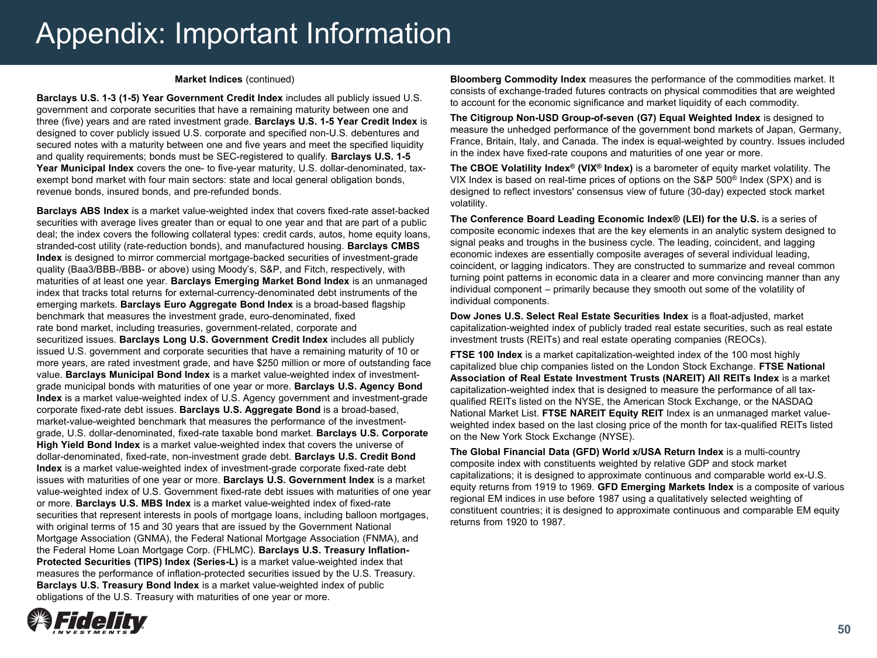#### **Market Indices** (continued)

**Barclays U.S. 1-3 (1-5) Year Government Credit Index** includes all publicly issued U.S. government and corporate securities that have a remaining maturity between one and three (five) years and are rated investment grade. **Barclays U.S. 1-5 Year Credit Index** is designed to cover publicly issued U.S. corporate and specified non-U.S. debentures and secured notes with a maturity between one and five years and meet the specified liquidity and quality requirements; bonds must be SEC-registered to qualify. **Barclays U.S. 1-5 Year Municipal Index** covers the one- to five-year maturity, U.S. dollar-denominated, taxexempt bond market with four main sectors: state and local general obligation bonds, revenue bonds, insured bonds, and pre-refunded bonds.

**Barclays ABS Index** is a market value-weighted index that covers fixed-rate asset-backed securities with average lives greater than or equal to one year and that are part of a public deal; the index covers the following collateral types: credit cards, autos, home equity loans, stranded-cost utility (rate-reduction bonds), and manufactured housing. **Barclays CMBS Index** is designed to mirror commercial mortgage-backed securities of investment-grade quality (Baa3/BBB-/BBB- or above) using Moody's, S&P, and Fitch, respectively, with maturities of at least one year. **Barclays Emerging Market Bond Index** is an unmanaged index that tracks total returns for external-currency-denominated debt instruments of the emerging markets. **Barclays Euro Aggregate Bond Index** is a broad-based flagship benchmark that measures the investment grade, euro-denominated, fixed rate bond market, including treasuries, government-related, corporate and securitized issues. **Barclays Long U.S. Government Credit Index** includes all publicly issued U.S. government and corporate securities that have a remaining maturity of 10 or more years, are rated investment grade, and have \$250 million or more of outstanding face value. **Barclays Municipal Bond Index** is a market value-weighted index of investmentgrade municipal bonds with maturities of one year or more. **Barclays U.S. Agency Bond Index** is a market value-weighted index of U.S. Agency government and investment-grade corporate fixed-rate debt issues. **Barclays U.S. Aggregate Bond** is a broad-based, market-value-weighted benchmark that measures the performance of the investmentgrade, U.S. dollar-denominated, fixed-rate taxable bond market. **Barclays U.S. Corporate High Yield Bond Index** is a market value-weighted index that covers the universe of dollar-denominated, fixed-rate, non-investment grade debt. **Barclays U.S. Credit Bond Index** is a market value-weighted index of investment-grade corporate fixed-rate debt issues with maturities of one year or more. **Barclays U.S. Government Index** is a market value-weighted index of U.S. Government fixed-rate debt issues with maturities of one year or more. **Barclays U.S. MBS Index** is a market value-weighted index of fixed-rate securities that represent interests in pools of mortgage loans, including balloon mortgages, with original terms of 15 and 30 years that are issued by the Government National Mortgage Association (GNMA), the Federal National Mortgage Association (FNMA), and the Federal Home Loan Mortgage Corp. (FHLMC). **Barclays U.S. Treasury Inflation-Protected Securities (TIPS) Index (Series-L)** is a market value-weighted index that measures the performance of inflation-protected securities issued by the U.S. Treasury. **Barclays U.S. Treasury Bond Index** is a market value-weighted index of public obligations of the U.S. Treasury with maturities of one year or more.

**Bloomberg Commodity Index** measures the performance of the commodities market. It consists of exchange-traded futures contracts on physical commodities that are weighted to account for the economic significance and market liquidity of each commodity.

**The Citigroup Non-USD Group-of-seven (G7) Equal Weighted Index** is designed to measure the unhedged performance of the government bond markets of Japan, Germany, France, Britain, Italy, and Canada. The index is equal-weighted by country. Issues included in the index have fixed-rate coupons and maturities of one year or more.

**The CBOE Volatility Index® (VIX® Index)** is a barometer of equity market volatility. The VIX Index is based on real-time prices of options on the S&P 500® Index (SPX) and is designed to reflect investors' consensus view of future (30-day) expected stock market volatility.

**The Conference Board Leading Economic Index® (LEI) for the U.S.** is a series of composite economic indexes that are the key elements in an analytic system designed to signal peaks and troughs in the business cycle. The leading, coincident, and lagging economic indexes are essentially composite averages of several individual leading, coincident, or lagging indicators. They are constructed to summarize and reveal common turning point patterns in economic data in a clearer and more convincing manner than any individual component – primarily because they smooth out some of the volatility of individual components.

**Dow Jones U.S. Select Real Estate Securities Index** is a float-adjusted, market capitalization-weighted index of publicly traded real estate securities, such as real estate investment trusts (REITs) and real estate operating companies (REOCs).

**FTSE 100 Index** is a market capitalization-weighted index of the 100 most highly capitalized blue chip companies listed on the London Stock Exchange. **FTSE National Association of Real Estate Investment Trusts (NAREIT) All REITs Index** is a market capitalization-weighted index that is designed to measure the performance of all taxqualified REITs listed on the NYSE, the American Stock Exchange, or the NASDAQ National Market List. **FTSE NAREIT Equity REIT** Index is an unmanaged market valueweighted index based on the last closing price of the month for tax-qualified REITs listed on the New York Stock Exchange (NYSE).

**The Global Financial Data (GFD) World x/USA Return Index** is a multi-country composite index with constituents weighted by relative GDP and stock market capitalizations; it is designed to approximate continuous and comparable world ex-U.S. equity returns from 1919 to 1969. **GFD Emerging Markets Index** is a composite of various regional EM indices in use before 1987 using a qualitatively selected weighting of constituent countries; it is designed to approximate continuous and comparable EM equity returns from 1920 to 1987.

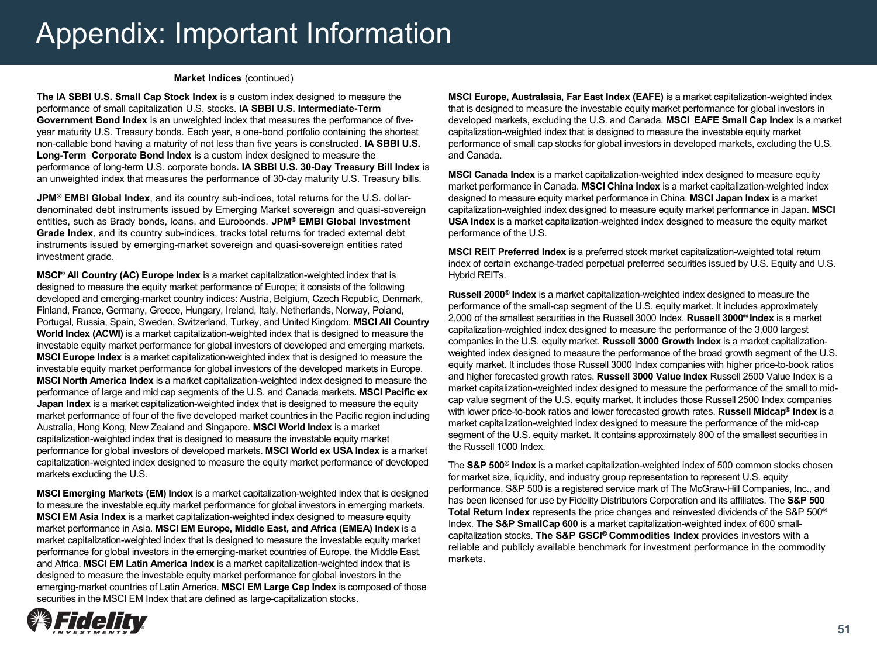#### **Market Indices** (continued)

**The IA SBBI U.S. Small Cap Stock Index** is a custom index designed to measure the performance of small capitalization U.S. stocks. **IA SBBI U.S. Intermediate-Term Government Bond Index** is an unweighted index that measures the performance of fiveyear maturity U.S. Treasury bonds. Each year, a one-bond portfolio containing the shortest non-callable bond having a maturity of not less than five years is constructed. **IA SBBI U.S. Long-Term Corporate Bond Index** is a custom index designed to measure the performance of long-term U.S. corporate bonds**. IA SBBI U.S. 30-Day Treasury Bill Index** is an unweighted index that measures the performance of 30-day maturity U.S. Treasury bills.

**JPM® EMBI Global Index**, and its country sub-indices, total returns for the U.S. dollardenominated debt instruments issued by Emerging Market sovereign and quasi-sovereign entities, such as Brady bonds, loans, and Eurobonds. **JPM® EMBI Global Investment Grade Index**, and its country sub-indices, tracks total returns for traded external debt instruments issued by emerging-market sovereign and quasi-sovereign entities rated investment grade.

**MSCI® All Country (AC) Europe Index** is a market capitalization-weighted index that is designed to measure the equity market performance of Europe; it consists of the following developed and emerging-market country indices: Austria, Belgium, Czech Republic, Denmark, Finland, France, Germany, Greece, Hungary, Ireland, Italy, Netherlands, Norway, Poland, Portugal, Russia, Spain, Sweden, Switzerland, Turkey, and United Kingdom. **MSCI All Country World Index (ACWI)** is a market capitalization-weighted index that is designed to measure the investable equity market performance for global investors of developed and emerging markets. **MSCI Europe Index** is a market capitalization-weighted index that is designed to measure the investable equity market performance for global investors of the developed markets in Europe. **MSCI North America Index** is a market capitalization-weighted index designed to measure the performance of large and mid cap segments of the U.S. and Canada markets**. MSCI Pacific ex Japan Index** is a market capitalization-weighted index that is designed to measure the equity market performance of four of the five developed market countries in the Pacific region including Australia, Hong Kong, New Zealand and Singapore. **MSCI World Index** is a market capitalization-weighted index that is designed to measure the investable equity market performance for global investors of developed markets. **MSCI World ex USA Index** is a market capitalization-weighted index designed to measure the equity market performance of developed markets excluding the U.S.

**MSCI Emerging Markets (EM) Index** is a market capitalization-weighted index that is designed to measure the investable equity market performance for global investors in emerging markets. **MSCI EM Asia Index** is a market capitalization-weighted index designed to measure equity market performance in Asia. **MSCI EM Europe, Middle East, and Africa (EMEA) Index** is a market capitalization-weighted index that is designed to measure the investable equity market performance for global investors in the emerging-market countries of Europe, the Middle East, and Africa. **MSCI EM Latin America Index** is a market capitalization-weighted index that is designed to measure the investable equity market performance for global investors in the emerging-market countries of Latin America. **MSCI EM Large Cap Index** is composed of those securities in the MSCI EM Index that are defined as large-capitalization stocks.

**MSCI Europe, Australasia, Far East Index (EAFE)** is a market capitalization-weighted index that is designed to measure the investable equity market performance for global investors in developed markets, excluding the U.S. and Canada. **MSCI EAFE Small Cap Index** is a market capitalization-weighted index that is designed to measure the investable equity market performance of small cap stocks for global investors in developed markets, excluding the U.S. and Canada.

**MSCI Canada Index** is a market capitalization-weighted index designed to measure equity market performance in Canada. **MSCI China Index** is a market capitalization-weighted index designed to measure equity market performance in China. **MSCI Japan Index** is a market capitalization-weighted index designed to measure equity market performance in Japan. **MSCI USA Index** is a market capitalization-weighted index designed to measure the equity market performance of the U.S.

**MSCI REIT Preferred Index** is a preferred stock market capitalization-weighted total return index of certain exchange-traded perpetual preferred securities issued by U.S. Equity and U.S. Hybrid REITs.

**Russell 2000® Index** is a market capitalization-weighted index designed to measure the performance of the small-cap segment of the U.S. equity market. It includes approximately 2,000 of the smallest securities in the Russell 3000 Index. **Russell 3000® Index** is a market capitalization-weighted index designed to measure the performance of the 3,000 largest companies in the U.S. equity market. **Russell 3000 Growth Index** is a market capitalizationweighted index designed to measure the performance of the broad growth segment of the U.S. equity market. It includes those Russell 3000 Index companies with higher price-to-book ratios and higher forecasted growth rates. **Russell 3000 Value Index** Russell 2500 Value Index is a market capitalization-weighted index designed to measure the performance of the small to midcap value segment of the U.S. equity market. It includes those Russell 2500 Index companies with lower price-to-book ratios and lower forecasted growth rates. **Russell Midcap® Index** is a market capitalization-weighted index designed to measure the performance of the mid-cap segment of the U.S. equity market. It contains approximately 800 of the smallest securities in the Russell 1000 Index.

The **S&P 500® Index** is a market capitalization-weighted index of 500 common stocks chosen for market size, liquidity, and industry group representation to represent U.S. equity performance. S&P 500 is a registered service mark of The McGraw-Hill Companies, Inc., and has been licensed for use by Fidelity Distributors Corporation and its affiliates. The **S&P 500 Total Return Index** represents the price changes and reinvested dividends of the S&P 500**®** Index. **The S&P SmallCap 600** is a market capitalization-weighted index of 600 smallcapitalization stocks. **The S&P GSCI® Commodities Index** provides investors with a reliable and publicly available benchmark for investment performance in the commodity markets.

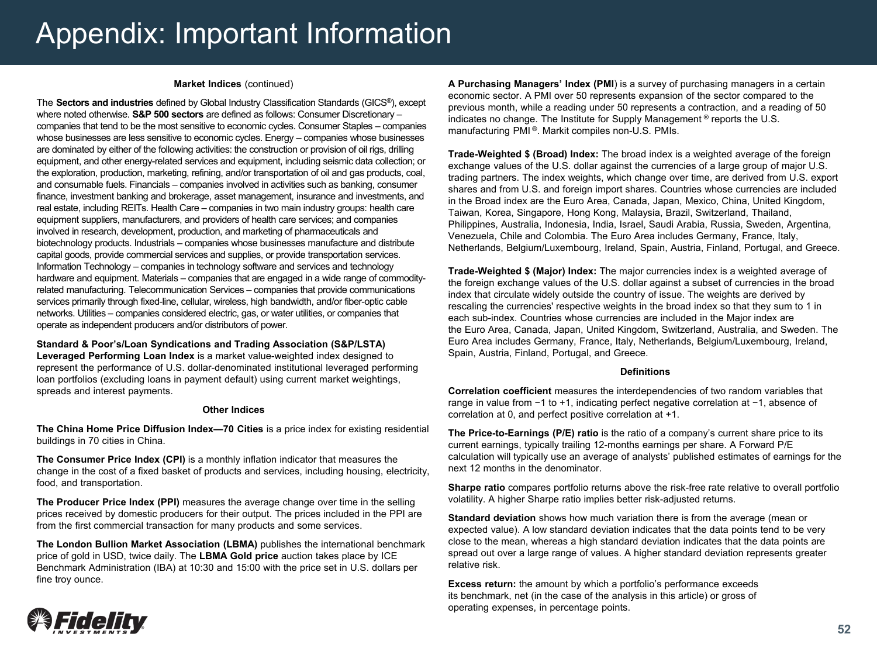#### **Market Indices** (continued)

The **Sectors and industries** defined by Global Industry Classification Standards (GICS®), except where noted otherwise. **S&P 500 sectors** are defined as follows: Consumer Discretionary – companies that tend to be the most sensitive to economic cycles. Consumer Staples – companies whose businesses are less sensitive to economic cycles. Energy – companies whose businesses are dominated by either of the following activities: the construction or provision of oil rigs, drilling equipment, and other energy-related services and equipment, including seismic data collection; or the exploration, production, marketing, refining, and/or transportation of oil and gas products, coal, and consumable fuels. Financials – companies involved in activities such as banking, consumer finance, investment banking and brokerage, asset management, insurance and investments, and real estate, including REITs. Health Care – companies in two main industry groups: health care equipment suppliers, manufacturers, and providers of health care services; and companies involved in research, development, production, and marketing of pharmaceuticals and biotechnology products. Industrials – companies whose businesses manufacture and distribute capital goods, provide commercial services and supplies, or provide transportation services. Information Technology – companies in technology software and services and technology hardware and equipment. Materials – companies that are engaged in a wide range of commodityrelated manufacturing. Telecommunication Services – companies that provide communications services primarily through fixed-line, cellular, wireless, high bandwidth, and/or fiber-optic cable networks. Utilities – companies considered electric, gas, or water utilities, or companies that operate as independent producers and/or distributors of power.

#### **Standard & Poor's/Loan Syndications and Trading Association (S&P/LSTA)**

**Leveraged Performing Loan Index** is a market value-weighted index designed to represent the performance of U.S. dollar-denominated institutional leveraged performing loan portfolios (excluding loans in payment default) using current market weightings, spreads and interest payments.

#### **Other Indices**

**The China Home Price Diffusion Index—70 Cities** is a price index for existing residential buildings in 70 cities in China.

**The Consumer Price Index (CPI)** is a monthly inflation indicator that measures the change in the cost of a fixed basket of products and services, including housing, electricity, food, and transportation.

**The Producer Price Index (PPI)** measures the average change over time in the selling prices received by domestic producers for their output. The prices included in the PPI are from the first commercial transaction for many products and some services.

**The London Bullion Market Association (LBMA)** publishes the international benchmark price of gold in USD, twice daily. The **LBMA Gold price** auction takes place by ICE Benchmark Administration (IBA) at 10:30 and 15:00 with the price set in U.S. dollars per fine troy ounce.

**A Purchasing Managers' Index (PMI**) is a survey of purchasing managers in a certain economic sector. A PMI over 50 represents expansion of the sector compared to the previous month, while a reading under 50 represents a contraction, and a reading of 50 indicates no change. The Institute for Supply Management ® reports the U.S. manufacturing PMI®. Markit compiles non-U.S. PMIs.

**Trade-Weighted \$ (Broad) Index:** The broad index is a weighted average of the foreign exchange values of the U.S. dollar against the currencies of a large group of major U.S. trading partners. The index weights, which change over time, are derived from U.S. export shares and from U.S. and foreign import shares. Countries whose currencies are included in the Broad index are the Euro Area, Canada, Japan, Mexico, China, United Kingdom, Taiwan, Korea, Singapore, Hong Kong, Malaysia, Brazil, Switzerland, Thailand, Philippines, Australia, Indonesia, India, Israel, Saudi Arabia, Russia, Sweden, Argentina, Venezuela, Chile and Colombia. The Euro Area includes Germany, France, Italy, Netherlands, Belgium/Luxembourg, Ireland, Spain, Austria, Finland, Portugal, and Greece.

**Trade-Weighted \$ (Major) Index:** The major currencies index is a weighted average of the foreign exchange values of the U.S. dollar against a subset of currencies in the broad index that circulate widely outside the country of issue. The weights are derived by rescaling the currencies' respective weights in the broad index so that they sum to 1 in each sub-index. Countries whose currencies are included in the Major index are the Euro Area, Canada, Japan, United Kingdom, Switzerland, Australia, and Sweden. The Euro Area includes Germany, France, Italy, Netherlands, Belgium/Luxembourg, Ireland, Spain, Austria, Finland, Portugal, and Greece.

#### **Definitions**

**Correlation coefficient** measures the interdependencies of two random variables that range in value from −1 to +1, indicating perfect negative correlation at −1, absence of correlation at 0, and perfect positive correlation at +1.

**The Price-to-Earnings (P/E) ratio** is the ratio of a company's current share price to its current earnings, typically trailing 12-months earnings per share. A Forward P/E calculation will typically use an average of analysts' published estimates of earnings for the next 12 months in the denominator.

**Sharpe ratio** compares portfolio returns above the risk-free rate relative to overall portfolio volatility. A higher Sharpe ratio implies better risk-adjusted returns.

**Standard deviation** shows how much variation there is from the average (mean or expected value). A low standard deviation indicates that the data points tend to be very close to the mean, whereas a high standard deviation indicates that the data points are spread out over a large range of values. A higher standard deviation represents greater relative risk.

**Excess return:** the amount by which a portfolio's performance exceeds its benchmark, net (in the case of the analysis in this article) or gross of operating expenses, in percentage points.